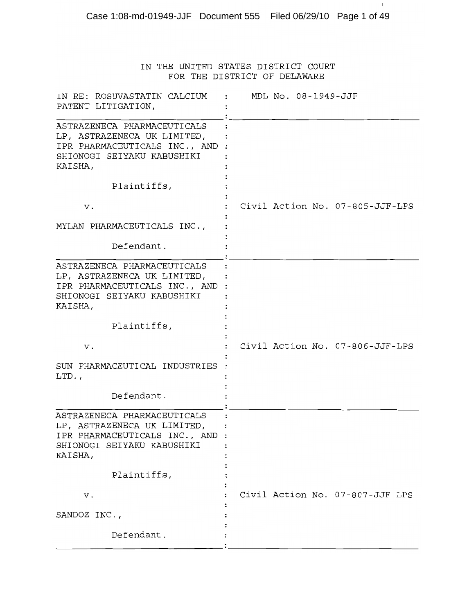|                                                                                                                                      | IN THE UNITED STATES DISTRICT COURT<br>FOR THE DISTRICT OF DELAWARE |
|--------------------------------------------------------------------------------------------------------------------------------------|---------------------------------------------------------------------|
| IN RE: ROSUVASTATIN CALCIUM<br>PATENT LITIGATION,                                                                                    | : MDL No. 08-1949-JJF                                               |
| ASTRAZENECA PHARMACEUTICALS<br>LP, ASTRAZENECA UK LIMITED,<br>IPR PHARMACEUTICALS INC., AND<br>SHIONOGI SEIYAKU KABUSHIKI<br>KAISHA, |                                                                     |
| Plaintiffs,                                                                                                                          |                                                                     |
| v.                                                                                                                                   | Civil Action No. 07-805-JJF-LPS                                     |
| MYLAN PHARMACEUTICALS INC.,                                                                                                          |                                                                     |
| Defendant.                                                                                                                           |                                                                     |
| ASTRAZENECA PHARMACEUTICALS<br>LP, ASTRAZENECA UK LIMITED,<br>IPR PHARMACEUTICALS INC., AND<br>SHIONOGI SEIYAKU KABUSHIKI<br>KAISHA, |                                                                     |
| Plaintiffs,                                                                                                                          |                                                                     |
| v.                                                                                                                                   | Civil Action No. 07-806-JJF-LPS                                     |
| SUN PHARMACEUTICAL INDUSTRIES<br>LTD.,                                                                                               |                                                                     |
| Defendant.                                                                                                                           |                                                                     |
| ASTRAZENECA PHARMACEUTICALS<br>LP, ASTRAZENECA UK LIMITED,<br>IPR PHARMACEUTICALS INC., AND<br>SHIONOGI SEIYAKU KABUSHIKI<br>KAISHA, |                                                                     |
| Plaintiffs,                                                                                                                          |                                                                     |
| ν.                                                                                                                                   | Civil Action No. 07-807-JJF-LPS                                     |
| SANDOZ INC.,                                                                                                                         |                                                                     |
| Defendant.                                                                                                                           |                                                                     |

Case 1:08-md-01949-JJF Document 555 Filed 06/29/10 Page 1 of 49

 $\sim 1$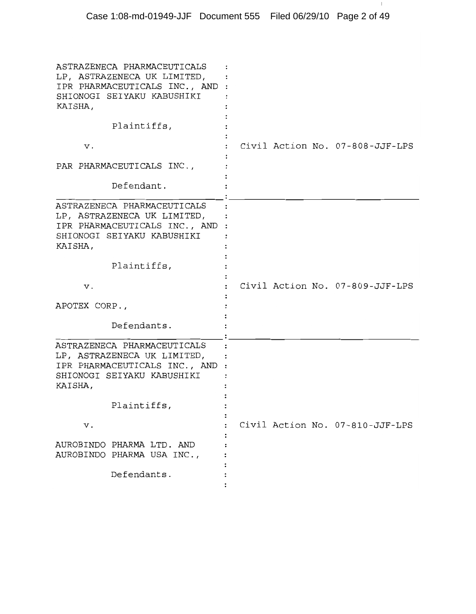| KAISHA,       | ASTRAZENECA PHARMACEUTICALS<br>LP, ASTRAZENECA UK LIMITED,<br>IPR PHARMACEUTICALS INC., AND :<br>SHIONOGI SEIYAKU KABUSHIKI |  |                                 |
|---------------|-----------------------------------------------------------------------------------------------------------------------------|--|---------------------------------|
|               | Plaintiffs,                                                                                                                 |  |                                 |
| v.            |                                                                                                                             |  | Civil Action No. 07-808-JJF-LPS |
|               | PAR PHARMACEUTICALS INC.,                                                                                                   |  |                                 |
|               | Defendant.                                                                                                                  |  |                                 |
| KAISHA,       | ASTRAZENECA PHARMACEUTICALS<br>LP, ASTRAZENECA UK LIMITED,<br>IPR PHARMACEUTICALS INC., AND :<br>SHIONOGI SEIYAKU KABUSHIKI |  |                                 |
|               | Plaintiffs,                                                                                                                 |  |                                 |
| ν.            |                                                                                                                             |  |                                 |
|               |                                                                                                                             |  | Civil Action No. 07-809-JJF-LPS |
| APOTEX CORP., |                                                                                                                             |  |                                 |
|               | Defendants.                                                                                                                 |  |                                 |
| KAISHA,       | ASTRAZENECA PHARMACEUTICALS<br>LP, ASTRAZENECA UK LIMITED,<br>IPR PHARMACEUTICALS INC., AND :<br>SHIONOGI SEIYAKU KABUSHIKI |  |                                 |
|               | Plaintiffs,                                                                                                                 |  |                                 |
| v.            |                                                                                                                             |  | Civil Action No. 07-810-JJF-LPS |
|               | AUROBINDO PHARMA LTD. AND<br>AUROBINDO PHARMA USA INC.,                                                                     |  |                                 |

 $\sim 1$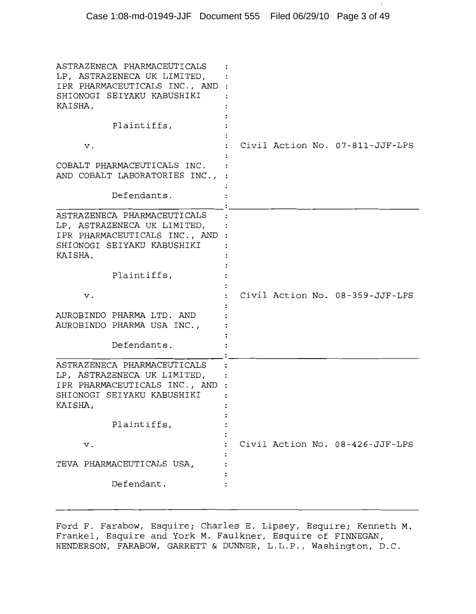| ASTRAZENECA PHARMACEUTICALS<br>LP, ASTRAZENECA UK LIMITED,<br>IPR PHARMACEUTICALS INC., AND<br>SHIONOGI SEIYAKU KABUSHIKI<br>KAISHA,   |                                 |
|----------------------------------------------------------------------------------------------------------------------------------------|---------------------------------|
| Plaintiffs,                                                                                                                            |                                 |
| v.                                                                                                                                     | Civil Action No. 07-811-JJF-LPS |
| COBALT PHARMACEUTICALS INC.<br>AND COBALT LABORATORIES INC.,                                                                           |                                 |
| Defendants.                                                                                                                            |                                 |
| ASTRAZENECA PHARMACEUTICALS<br>LP, ASTRAZENECA UK LIMITED,<br>IPR PHARMACEUTICALS INC., AND<br>SHIONOGI SEIYAKU KABUSHIKI<br>KAISHA,   |                                 |
| Plaintiffs,                                                                                                                            |                                 |
| v.                                                                                                                                     | Civil Action No. 08-359-JJF-LPS |
| AUROBINDO PHARMA LTD. AND<br>AUROBINDO PHARMA USA INC.,                                                                                |                                 |
| Defendants.                                                                                                                            |                                 |
| ASTRAZENECA PHARMACEUTICALS<br>LP, ASTRAZENECA UK LIMITED,<br>IPR PHARMACEUTICALS INC., AND :<br>SHIONOGI SEIYAKU KABUSHIKI<br>KAISHA, |                                 |
| Plaintiffs,                                                                                                                            |                                 |
| ν.                                                                                                                                     | Civil Action No. 08-426-JJF-LPS |
| TEVA PHARMACEUTICALS USA,                                                                                                              |                                 |
| Defendant.                                                                                                                             |                                 |

Ford F. Farabow, Esquire; Charles E. Lipsey, Esquire; Kenneth M. Frankel, Esquire and York M. Faulkner, Esquire of FINNEGAN, HENDERSON, FARABOW, GARRETT & DUNNER, L.L.P., Washington, D.C.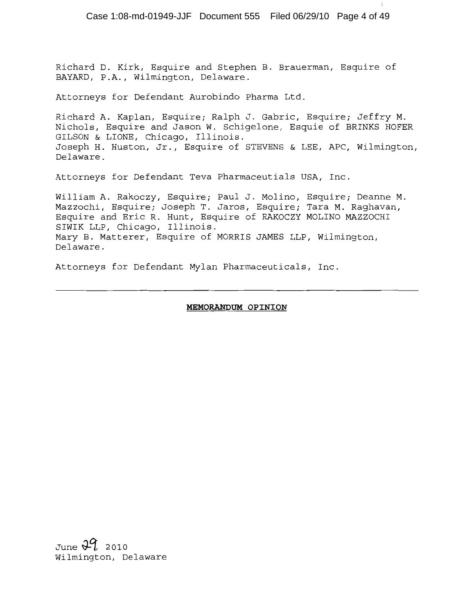Case 1:08-md-01949-JJF Document 555 Filed 06/29/10 Page 4 of 49

Richard D. Kirk, Esquire and Stephen B. Brauerman, Esquire of BAYARD, P.A., Wilmington, Delaware.

Attorneys for Defendant Aurobindo Pharma Ltd.

Richard A. Kaplan, Esquire; Ralph J. Gabric, Esquire; Jeffry M. Nichols, Esquire and Jason W. Schigelone, Esquie of BRINKS HOFER GILSON & LIONE, Chicago, Illinois. Joseph H. Huston, Jr., Esquire of STEVENS & LEE, APC, Wilmington, Delaware.

Attorneys for Defendant Teva Pharmaceutials USA, Inc.

William A. Rakoczy, Esquire; Paul J. Molino, Esquire; Deanne M. Mazzochi, Esquire; Joseph T. Jaros, Esquire; Tara M. Raqhavan, Esquire and Eric R. Hunt, Esquire of RAKOCZY MOLINO MAZZOCHI SIWIK LLP, Chicago, Illinois. Mary B. Matterer, Esquire of MORRIS JAMES LLP, Wilmington, Delaware.

Attorneys for Defendant Mylan Pharmaceuticals, Inc.

#### MEMORANDUM OPINION

June  $29.2010$ Wilmington, Delaware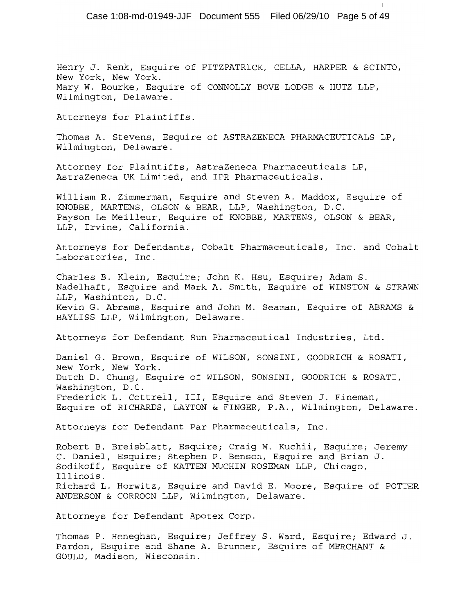Henry J. Renk, Esquire of FITZPATRICK, CELLA, HARPER & SCINTO, New York, New York. Mary W. Bourke, Esquire of CONNOLLY BOVE LODGE & HUTZ LLP, Wilmington, Delaware.

Attorneys for Plaintiffs.

Thomas A. Stevens, Esquire of ASTRAZENECA PHARMACEUTICALS LP, Wilmington, Delaware.

Attorney for Plaintiffs, AstraZeneca Pharmaceuticals LP, AstraZeneca UK Limited, and IPR Pharmaceuticals.

William R. Zimmerman, Esquire and Steven A. Maddox, Esquire of KNOBBE, MARTENS, OLSON & BEAR, LLP, Washington, D.C. Payson Le Meilleur, Esquire of KNOBBE, MARTENS, OLSON & BEAR, LLP, Irvine, California.

Attorneys for Defendants, Cobalt Pharmaceuticals, Inc. and Cobalt Laboratories, Inc.

Charles B. Klein, Esquire; John K. Hsu, Esquire; Adam S. Nadelhaft, Esquire and Mark A. Smith, Esquire of WINSTON & STRAWN LLP, Washinton, D.C. Kevin G. Abrams, Esquire and John M. Seaman, Esquire of ABRAMS & BAYLISS LLP, Wilmington, Delaware.

Attorneys for Defendant Sun Pharmaceutical Industries, Ltd.

Daniel G. Brown, Esquire of WILSON, SONSINI, GOODRICH & ROSATI, New York, New York. Dutch D. Chung, Esquire of WILSON, SONSINI, GOODRICH & ROSATI, Washington, D.C. Frederick L. Cottrell, III, Esquire and Steven J. Fineman, Esquire of RICHARDS, LAYTON & FINGER, P.A., Wilmington, Delaware.

Attorneys for Defendant Par Pharmaceuticals, Inc.

Robert B. Breisblatt, Esquire; Craig M. Kuchii, Esquire; Jeremy C. Daniel, Esquire; Stephen P. Benson, Esquire and Brian J. Sodikoff, Esquire of KATTEN MUCHIN ROSEMAN LLP, Chicago, Illinois. Richard L. Horwitz, Esquire and David E. Moore, Esquire of POTTER ANDERSON & CORROON LLP, Wilmington, Delaware.

Attorneys for Defendant Apotex Corp.

Thomas P. Heneghan, Esquire; Jeffrey S. Ward, Esquire; Edward J. Pardon, Esquire and Shane A. Brunner, Esquire of MERCHANT & GOULD, Madison, Wisconsin.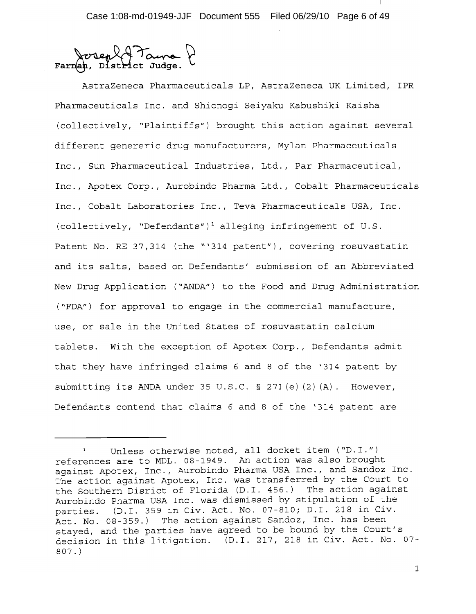District Judge.

AstraZeneca Pharmaceuticals LP, AstraZeneca UK Limited, IPR Pharmaceuticals Inc. and Shionogi Seiyaku Kabushiki Kaisha (collectively, "Plaintiffs") brought this action against several different genereric drug manufacturers, Mylan Pharmaceuticals Inc., Sun Pharmaceutical Industries, Ltd., Par Pharmaceutical, Inc., Apotex Corp., Aurobindo Pharma Ltd., Cobalt Pharmaceuticals Inc., Cobalt Laboratories Inc., Teva Pharmaceuticals USA, Inc. (collectively, "Defendants")<sup>1</sup> alleging infringement of U.S. Patent No. RE 37,314 (the "'314 patent"), covering rosuvastatin and its salts, based on Defendants' submission of an Abbreviated New Drug Application ("ANDA") to the Food and Drug Administration ("FDA") for approval to engage in the commercial manufacture, use, or sale in the United States of rosuvastatin calcium tablets. With the exception of Apotex Corp., Defendants admit that they have infringed claims 6 and 8 of the '314 patent by submitting its ANDA under 35 U.S.C. § 271(e)(2)(A). However, Defendants contend that claims 6 and 8 of the '314 patent are

Unless otherwise noted, all docket item ("D.I.") references are to MDL. 08-1949. An action was also brought against Apotex, Inc., Aurobindo Pharma USA Inc., and Sandoz Inc. The action against Apotex, Inc. was transferred by the Court to the Southern Disrict of Florida (D.I. 456.) The action against Aurobindo Pharma USA Inc. was dismissed by stipulation of the parties. (D.I. 359 in Civ. Act. No. 07-810; D.I. 218 in Civ. Act. No. 08-359.) The action against Sandoz, Inc. has been stayed, and the parties have agreed to be bound by the Court's decision in this litigation. (D.I. 217, 218 in Civ. Act. No. 07- $807.$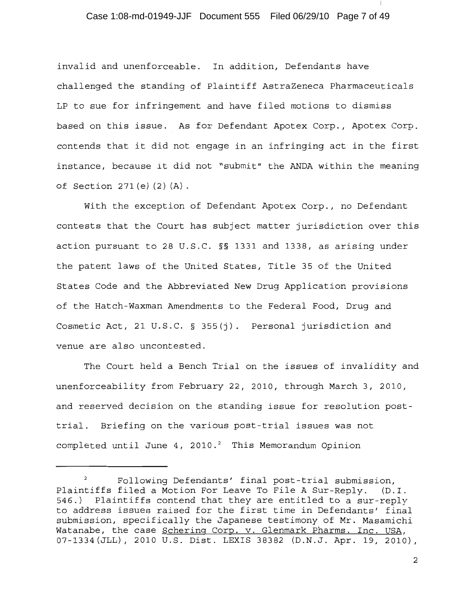# Case 1:08-md-01949-JJF Document 555 Filed 06/29/10 Page 7 of 49

invalid and unenforceable. In addition, Defendants have challenged the standing of Plaintiff AstraZeneca Pharmaceuticals LP to sue for infringement and have filed motions to dismiss based on this issue. As for Defendant Apotex Corp., Apotex Corp. contends that it did not engage in an infringing act in the first instance, because it did not "submit" the ANDA within the meaning of Section 271(e)(2)(A).

With the exception of Defendant Apotex Corp., no Defendant contests that the Court has subject matter jurisdiction over this action pursuant to 28 U.S.C. §§ 1331 and 1338, as arising under the patent laws of the United States, Title 35 of the United States Code and the Abbreviated New Drug Application provisions of the Hatch-Waxman Amendments to the Federal Food, Drug and Cosmetic Act, 21 U.S.C. § 355(j). Personal jurisdiction and venue are also uncontested.

The Court held a Bench Trial on the issues of invalidity and unenforceability from February 22, 2010, through March 3, 2010, and reserved decision on the standing issue for resolution posttrial. Briefing on the various post-trial issues was not completed until June 4, 2010.<sup>2</sup> This Memorandum Opinion

Following Defendants' final post-trial submission, Plaintiffs filed a Motion For Leave To File A Sur-Reply. (D.I. 546.) Plaintiffs contend that they are entitled to a sur-reply to address issues raised for the first time in Defendants' final submission, specifically the Japanese testimony of Mr. Masamichi Watanabe, the case Schering Corp. v. Glenmark Pharms. Inc. USA, 07-1334 (JLL), 2010 U.S. Dist. LEXIS 38382 (D.N.J. Apr. 19, 2010),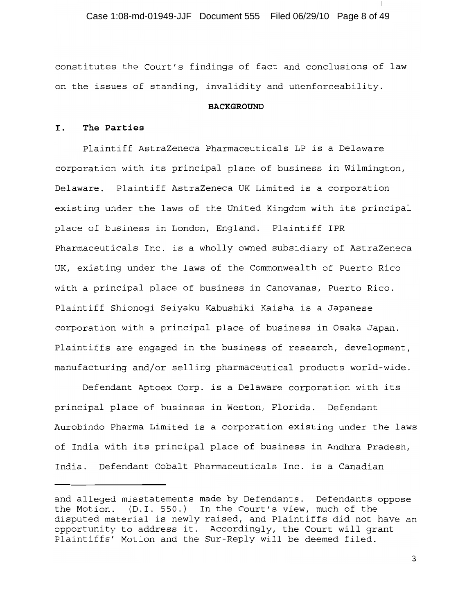Case 1:08-md-01949-JJF Document 555 Filed 06/29/10 Page 8 of 49

constitutes the Court's findings of fact and conclusions of law on the issues of standing, invalidity and unenforceability.

#### **BACKGROUND**

#### I. The Parties

Plaintiff AstraZeneca Pharmaceuticals LP is a Delaware corporation with its principal place of business in Wilmington, Delaware. Plaintiff AstraZeneca UK Limited is a corporation existing under the laws of the United Kingdom with its principal place of business in London, England. Plaintiff IPR Pharmaceuticals Inc. is a wholly owned subsidiary of AstraZeneca UK, existing under the laws of the Commonwealth of Puerto Rico with a principal place of business in Canovanas, Puerto Rico. Plaintiff Shionoqi Seiyaku Kabushiki Kaisha is a Japanese corporation with a principal place of business in Osaka Japan. Plaintiffs are engaged in the business of research, development, manufacturing and/or selling pharmaceutical products world-wide.

Defendant Aptoex Corp. is a Delaware corporation with its principal place of business in Weston, Florida. Defendant Aurobindo Pharma Limited is a corporation existing under the laws of India with its principal place of business in Andhra Pradesh, India. Defendant Cobalt Pharmaceuticals Inc. is a Canadian

and alleged misstatements made by Defendants. Defendants oppose the Motion. (D.I. 550.) In the Court's view, much of the disputed material is newly raised, and Plaintiffs did not have an opportunity to address it. Accordingly, the Court will grant Plaintiffs' Motion and the Sur-Reply will be deemed filed.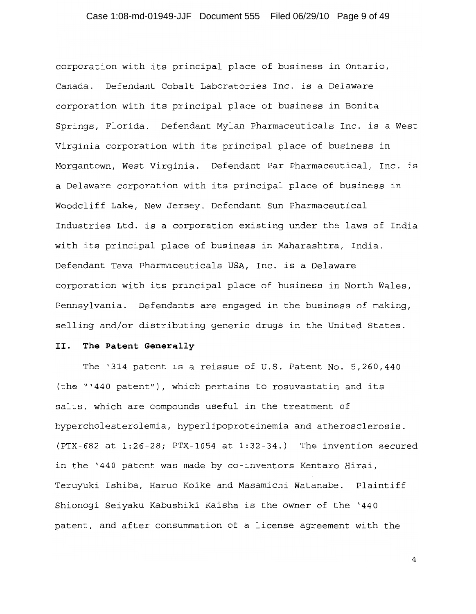# Case 1:08-md-01949-JJF Document 555 Filed 06/29/10 Page 9 of 49

corporation with its principal place of business in Ontario, Canada. Defendant Cobalt Laboratories Inc. is a Delaware corporation with its principal place of business in Bonita Springs, Florida. Defendant Mylan Pharmaceuticals Inc. is a West Virginia corporation with its principal place of business in Morgantown, West Virginia. Defendant Par Pharmaceutical, Inc. is a Delaware corporation with its principal place of business in Woodcliff Lake, New Jersey. Defendant Sun Pharmaceutical Industries Ltd. is a corporation existing under the laws of India with its principal place of business in Maharashtra, India. Defendant Teva Pharmaceuticals USA, Inc. is a Delaware corporation with its principal place of business in North Wales, Pennsylvania. Defendants are engaged in the business of making, selling and/or distributing generic drugs in the United States.

#### The Patent Generally II.

The '314 patent is a reissue of U.S. Patent No. 5,260,440 (the "'440 patent"), which pertains to rosuvastatin and its salts, which are compounds useful in the treatment of hypercholesterolemia, hyperlipoproteinemia and atherosclerosis. (PTX-682 at 1:26-28; PTX-1054 at 1:32-34.) The invention secured in the '440 patent was made by co-inventors Kentaro Hirai, Teruyuki Ishiba, Haruo Koike and Masamichi Watanabe. Plaintiff Shionogi Seiyaku Kabushiki Kaisha is the owner of the '440 patent, and after consummation of a license agreement with the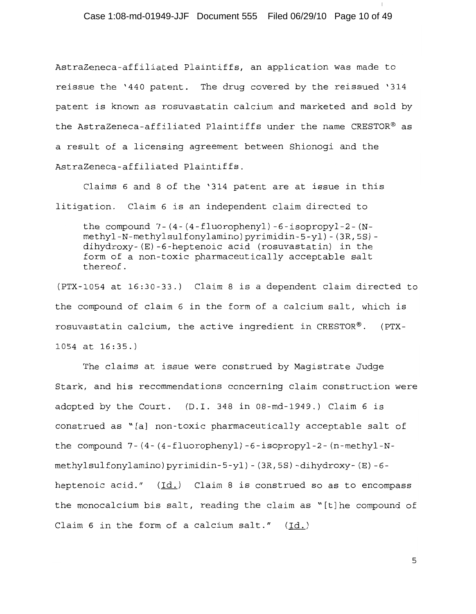Case 1:08-md-01949-JJF Document 555 Filed 06/29/10 Page 10 of 49

AstraZeneca-affiliated Plaintiffs, an application was made to reissue the '440 patent. The drug covered by the reissued '314 patent is known as rosuvastatin calcium and marketed and sold by the AstraZeneca-affiliated Plaintiffs under the name CRESTOR® as a result of a licensing agreement between Shionogi and the AstraZeneca-affiliated Plaintiffs.

Claims 6 and 8 of the '314 patent are at issue in this litigation. Claim 6 is an independent claim directed to

the compound  $7 - (4 - (4 - \text{fluorophenyl}) - 6 - \text{isopropyl} - 2 - (N$ methyl-N-methylsulfonylamino)pyrimidin-5-yl)-(3R,5S)dihydroxy-(E)-6-heptenoic acid (rosuvastatin) in the form of a non-toxic pharmaceutically acceptable salt thereof.

(PTX-1054 at 16:30-33.) Claim 8 is a dependent claim directed to the compound of claim 6 in the form of a calcium salt, which is rosuvastatin calcium, the active ingredient in CRESTOR®. (PTX- $1054$  at  $16:35.$ )

The claims at issue were construed by Magistrate Judge Stark, and his recommendations concerning claim construction were adopted by the Court. (D.I. 348 in 08-md-1949.) Claim 6 is construed as "[a] non-toxic pharmaceutically acceptable salt of the compound  $7 - (4 - (4 - \text{fluorophenyl}) - 6 - \text{isopropyl} - 2 - (n-methyl-N$ methylsulfonylamino)pyrimidin-5-yl)-(3R,5S)-dihydroxy-(E)-6heptenoic acid."  $(\underline{Id.})$  Claim 8 is construed so as to encompass the monocalcium bis salt, reading the claim as "[t]he compound of Claim 6 in the form of a calcium salt."  $(Id.)$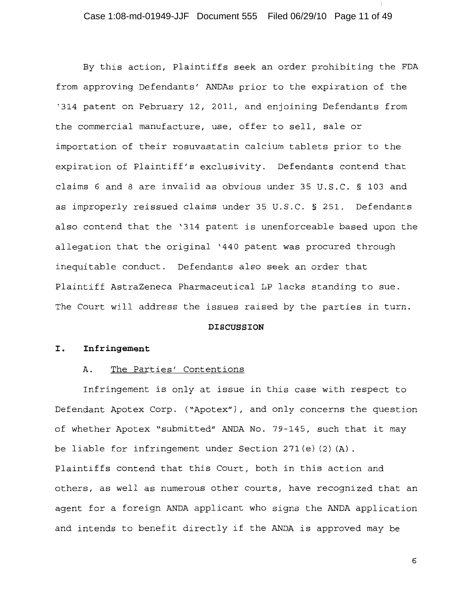By this action, Plaintiffs seek an order prohibiting the FDA from approving Defendants' ANDAs prior to the expiration of the '314 patent on February 12, 2011, and enjoining Defendants from the commercial manufacture, use, offer to sell, sale or importation of their rosuvastatin calcium tablets prior to the expiration of Plaintiff's exclusivity. Defendants contend that claims 6 and 8 are invalid as obvious under 35 U.S.C. § 103 and as improperly reissued claims under 35 U.S.C. § 251. Defendants also contend that the '314 patent is unenforceable based upon the allegation that the original '440 patent was procured through inequitable conduct. Defendants also seek an order that Plaintiff AstraZeneca Pharmaceutical LP lacks standing to sue. The Court will address the issues raised by the parties in turn.

#### **DISCUSSION**

#### I. Infringement

#### Α. The Parties' Contentions

Infringement is only at issue in this case with respect to Defendant Apotex Corp. ("Apotex"), and only concerns the question of whether Apotex "submitted" ANDA No. 79-145, such that it may be liable for infringement under Section  $271(e)$  (2) (A). Plaintiffs contend that this Court, both in this action and others, as well as numerous other courts, have recognized that an agent for a foreign ANDA applicant who signs the ANDA application and intends to benefit directly if the ANDA is approved may be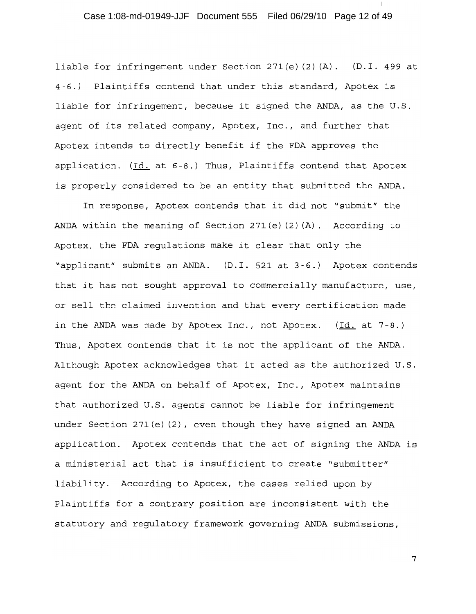# Case 1:08-md-01949-JJF Document 555 Filed 06/29/10 Page 12 of 49

liable for infringement under Section 271(e)(2)(A). (D.I. 499 at 4-6.) Plaintiffs contend that under this standard, Apotex is liable for infringement, because it signed the ANDA, as the U.S. agent of its related company, Apotex, Inc., and further that Apotex intends to directly benefit if the FDA approves the application. (Id. at 6-8.) Thus, Plaintiffs contend that Apotex is properly considered to be an entity that submitted the ANDA.

In response, Apotex contends that it did not "submit" the ANDA within the meaning of Section 271(e)(2)(A). According to Apotex, the FDA regulations make it clear that only the "applicant" submits an ANDA. (D.I. 521 at 3-6.) Apotex contends that it has not sought approval to commercially manufacture, use, or sell the claimed invention and that every certification made in the ANDA was made by Apotex Inc., not Apotex.  $(\underline{Id.}$  at 7-8.) Thus, Apotex contends that it is not the applicant of the ANDA. Although Apotex acknowledges that it acted as the authorized U.S. agent for the ANDA on behalf of Apotex, Inc., Apotex maintains that authorized U.S. agents cannot be liable for infringement under Section  $271(e)$  (2), even though they have signed an ANDA application. Apotex contends that the act of signing the ANDA is a ministerial act that is insufficient to create "submitter" liability. According to Apotex, the cases relied upon by Plaintiffs for a contrary position are inconsistent with the statutory and regulatory framework governing ANDA submissions,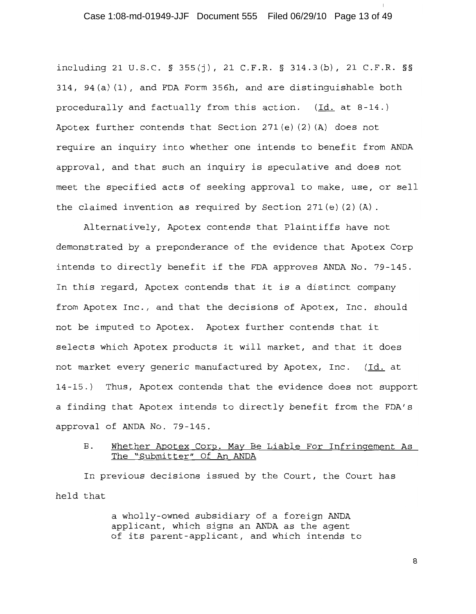### Case 1:08-md-01949-JJF Document 555 Filed 06/29/10 Page 13 of 49

including 21 U.S.C. § 355(j), 21 C.F.R. § 314.3(b), 21 C.F.R. §§ 314, 94(a)(1), and FDA Form 356h, and are distinguishable both procedurally and factually from this action. (Id. at 8-14.) Apotex further contends that Section  $271(e)$  (2) (A) does not require an inquiry into whether one intends to benefit from ANDA approval, and that such an inquiry is speculative and does not meet the specified acts of seeking approval to make, use, or sell the claimed invention as required by Section 271(e)(2)(A).

Alternatively, Apotex contends that Plaintiffs have not demonstrated by a preponderance of the evidence that Apotex Corp intends to directly benefit if the FDA approves ANDA No. 79-145. In this regard, Apotex contends that it is a distinct company from Apotex Inc., and that the decisions of Apotex, Inc. should not be imputed to Apotex. Apotex further contends that it selects which Apotex products it will market, and that it does not market every generic manufactured by Apotex, Inc. (Id. at 14-15.) Thus, Apotex contends that the evidence does not support a finding that Apotex intends to directly benefit from the FDA's approval of ANDA No. 79-145.

#### **B**. Whether Apotex Corp. May Be Liable For Infringement As The "Submitter" Of An ANDA

In previous decisions issued by the Court, the Court has held that

> a wholly-owned subsidiary of a foreign ANDA applicant, which signs an ANDA as the agent of its parent-applicant, and which intends to

> > $\mathsf{R}$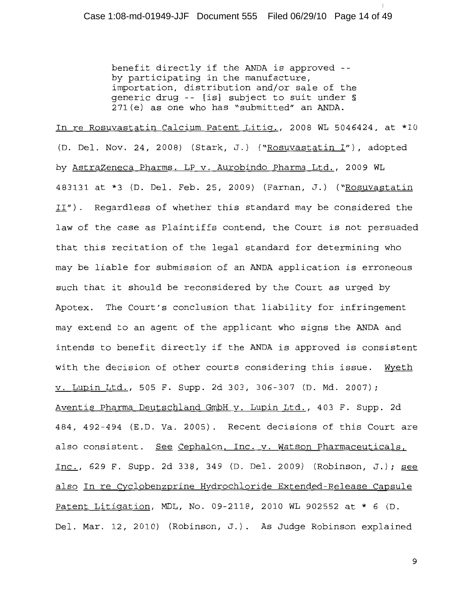benefit directly if the ANDA is approved -by participating in the manufacture, importation, distribution and/or sale of the qeneric drug -- [is] subject to suit under § 271(e) as one who has "submitted" an ANDA.

In re Rosuvastatin Calcium Patent Litiq., 2008 WL 5046424, at \*10 (D. Del. Nov. 24, 2008) (Stark, J.) ("Rosuvastatin I"), adopted by AstraZeneca Pharms. LP v. Aurobindo Pharma Ltd., 2009 WL 483131 at \*3 (D. Del. Feb. 25, 2009) (Farnan, J.) ("Rosuvastatin II"). Regardless of whether this standard may be considered the law of the case as Plaintiffs contend, the Court is not persuaded that this recitation of the legal standard for determining who may be liable for submission of an ANDA application is erroneous such that it should be reconsidered by the Court as urged by Apotex. The Court's conclusion that liability for infringement may extend to an agent of the applicant who signs the ANDA and intends to benefit directly if the ANDA is approved is consistent with the decision of other courts considering this issue. Wyeth v. Lupin Ltd., 505 F. Supp. 2d 303, 306-307 (D. Md. 2007); Aventis Pharma Deutschland GmbH v. Lupin Ltd., 403 F. Supp. 2d 484, 492-494 (E.D. Va. 2005). Recent decisions of this Court are also consistent. See Cephalon, Inc. v. Watson Pharmaceuticals, Inc., 629 F. Supp. 2d 338, 349 (D. Del. 2009) (Robinson, J.); see also In re Cyclobenzprine Hydrochloride Extended-Release Capsule Patent Litigation, MDL, No. 09-2118, 2010 WL 902552 at \* 6 (D. Del. Mar. 12, 2010) (Robinson, J.). As Judge Robinson explained

 $\mathsf{S}$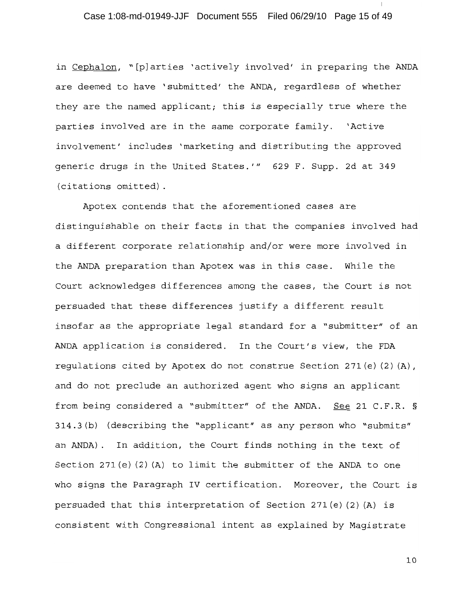# Case 1:08-md-01949-JJF Document 555 Filed 06/29/10 Page 15 of 49

in Cephalon, "[p]arties 'actively involved' in preparing the ANDA are deemed to have 'submitted' the ANDA, regardless of whether they are the named applicant; this is especially true where the parties involved are in the same corporate family. 'Active involvement' includes 'marketing and distributing the approved generic drugs in the United States.'" 629 F. Supp. 2d at 349 (citations omitted).

Apotex contends that the aforementioned cases are distinguishable on their facts in that the companies involved had a different corporate relationship and/or were more involved in the ANDA preparation than Apotex was in this case. While the Court acknowledges differences among the cases, the Court is not persuaded that these differences justify a different result insofar as the appropriate legal standard for a "submitter" of an ANDA application is considered. In the Court's view, the FDA requlations cited by Apotex do not construe Section 271 (e)  $(2)$   $(A)$ , and do not preclude an authorized agent who signs an applicant from being considered a "submitter" of the ANDA. See 21 C.F.R. § 314.3(b) (describing the "applicant" as any person who "submits" an ANDA). In addition, the Court finds nothing in the text of Section 271(e)(2)(A) to limit the submitter of the ANDA to one who signs the Paragraph IV certification. Moreover, the Court is persuaded that this interpretation of Section 271(e)(2)(A) is consistent with Congressional intent as explained by Magistrate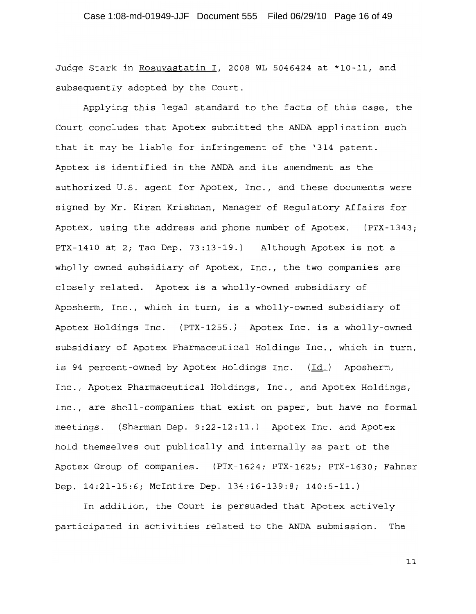Judge Stark in Rosuvastatin I, 2008 WL 5046424 at \*10-11, and subsequently adopted by the Court.

Applying this legal standard to the facts of this case, the Court concludes that Apotex submitted the ANDA application such that it may be liable for infringement of the '314 patent. Apotex is identified in the ANDA and its amendment as the authorized U.S. agent for Apotex, Inc., and these documents were signed by Mr. Kiran Krishnan, Manager of Regulatory Affairs for Apotex, using the address and phone number of Apotex. (PTX-1343; PTX-1410 at 2; Tao Dep. 73:13-19.) Although Apotex is not a wholly owned subsidiary of Apotex, Inc., the two companies are closely related. Apotex is a wholly-owned subsidiary of Aposherm, Inc., which in turn, is a wholly-owned subsidiary of Apotex Holdings Inc. (PTX-1255.) Apotex Inc. is a wholly-owned subsidiary of Apotex Pharmaceutical Holdings Inc., which in turn, is 94 percent-owned by Apotex Holdings Inc. (Id.) Aposherm, Inc., Apotex Pharmaceutical Holdings, Inc., and Apotex Holdings, Inc., are shell-companies that exist on paper, but have no formal meetings. (Sherman Dep. 9:22-12:11.) Apotex Inc. and Apotex hold themselves out publically and internally as part of the Apotex Group of companies. (PTX-1624; PTX-1625; PTX-1630; Fahner Dep. 14:21-15:6; McIntire Dep. 134:16-139:8; 140:5-11.)

In addition, the Court is persuaded that Apotex actively participated in activities related to the ANDA submission. The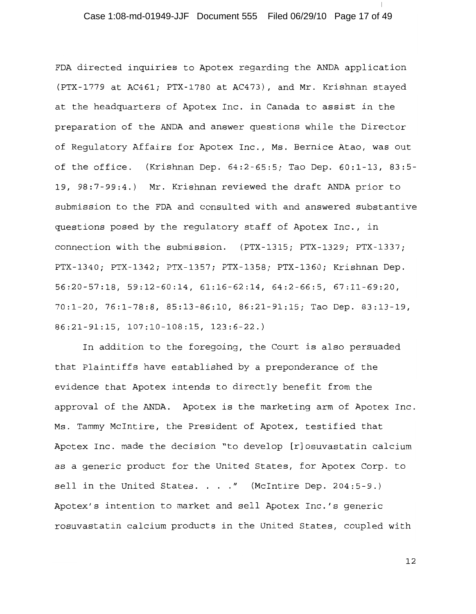# Case 1:08-md-01949-JJF Document 555 Filed 06/29/10 Page 17 of 49

FDA directed inquiries to Apotex regarding the ANDA application (PTX-1779 at AC461; PTX-1780 at AC473), and Mr. Krishnan stayed at the headquarters of Apotex Inc. in Canada to assist in the preparation of the ANDA and answer questions while the Director of Requlatory Affairs for Apotex Inc., Ms. Bernice Atao, was out of the office. (Krishnan Dep. 64:2-65:5; Tao Dep. 60:1-13, 83:5-19, 98:7-99:4.) Mr. Krishnan reviewed the draft ANDA prior to submission to the FDA and consulted with and answered substantive questions posed by the regulatory staff of Apotex Inc., in connection with the submission. (PTX-1315; PTX-1329; PTX-1337; PTX-1340; PTX-1342; PTX-1357; PTX-1358; PTX-1360; Krishnan Dep.  $56:20-57:18$ ,  $59:12-60:14$ ,  $61:16-62:14$ ,  $64:2-66:5$ ,  $67:11-69:20$ , 70:1-20, 76:1-78:8, 85:13-86:10, 86:21-91:15; Tao Dep. 83:13-19, 86:21-91:15, 107:10-108:15, 123:6-22.)

In addition to the foregoing, the Court is also persuaded that Plaintiffs have established by a preponderance of the evidence that Apotex intends to directly benefit from the approval of the ANDA. Apotex is the marketing arm of Apotex Inc. Ms. Tammy McIntire, the President of Apotex, testified that Apotex Inc. made the decision "to develop [r]osuvastatin calcium as a generic product for the United States, for Apotex Corp. to sell in the United States. . . . " (McIntire Dep. 204:5-9.) Apotex's intention to market and sell Apotex Inc.'s generic rosuvastatin calcium products in the United States, coupled with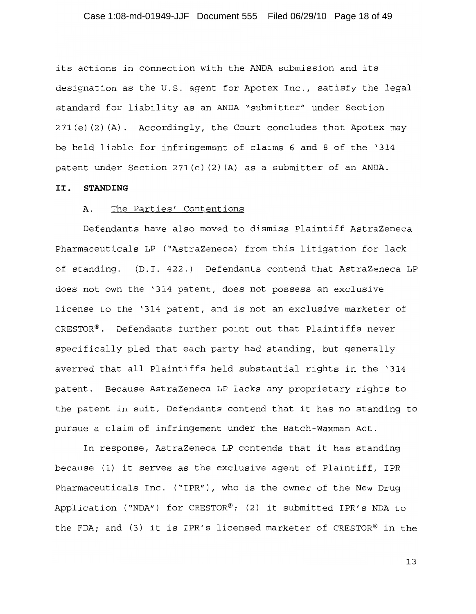# Case 1:08-md-01949-JJF Document 555 Filed 06/29/10 Page 18 of 49

its actions in connection with the ANDA submission and its designation as the U.S. agent for Apotex Inc., satisfy the legal standard for liability as an ANDA "submitter" under Section 271(e)(2)(A). Accordingly, the Court concludes that Apotex may be held liable for infringement of claims 6 and 8 of the '314 patent under Section 271(e)(2)(A) as a submitter of an ANDA.

#### STANDING II.

#### Α. The Parties' Contentions

Defendants have also moved to dismiss Plaintiff AstraZeneca Pharmaceuticals LP ("AstraZeneca) from this litigation for lack of standing. (D.I. 422.) Defendants contend that AstraZeneca LP does not own the '314 patent, does not possess an exclusive license to the '314 patent, and is not an exclusive marketer of CRESTOR®. Defendants further point out that Plaintiffs never specifically pled that each party had standing, but generally averred that all Plaintiffs held substantial rights in the '314 patent. Because AstraZeneca LP lacks any proprietary rights to the patent in suit, Defendants contend that it has no standing to pursue a claim of infringement under the Hatch-Waxman Act.

In response, AstraZeneca LP contends that it has standing because (1) it serves as the exclusive agent of Plaintiff, IPR Pharmaceuticals Inc. ("IPR"), who is the owner of the New Drug Application ("NDA") for CRESTOR®; (2) it submitted IPR's NDA to the FDA; and (3) it is IPR's licensed marketer of CRESTOR® in the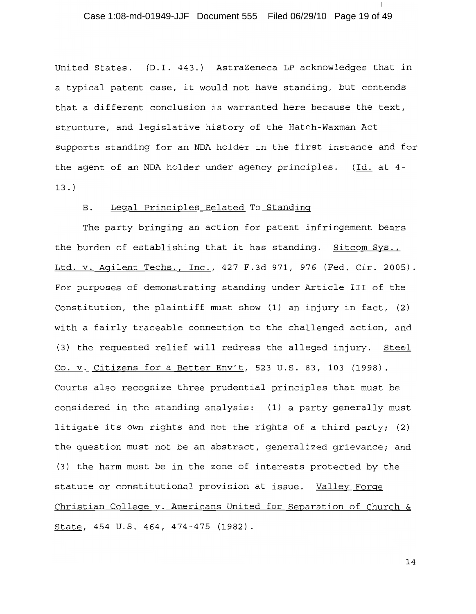### Case 1:08-md-01949-JJF Document 555 Filed 06/29/10 Page 19 of 49

United States. (D.I. 443.) AstraZeneca LP acknowledges that in a typical patent case, it would not have standing, but contends that a different conclusion is warranted here because the text, structure, and legislative history of the Hatch-Waxman Act supports standing for an NDA holder in the first instance and for the agent of an NDA holder under agency principles. (Id. at 4- $13.$ 

#### Legal Principles Related To Standing **B**.

The party bringing an action for patent infringement bears the burden of establishing that it has standing. Sitcom Sys., Ltd. v. Agilent Techs., Inc., 427 F.3d 971, 976 (Fed. Cir. 2005). For purposes of demonstrating standing under Article III of the Constitution, the plaintiff must show (1) an injury in fact, (2) with a fairly traceable connection to the challenged action, and (3) the requested relief will redress the alleged injury. Steel Co. v. Citizens for a Better Env't, 523 U.S. 83, 103 (1998). Courts also recognize three prudential principles that must be considered in the standing analysis: (1) a party generally must litigate its own rights and not the rights of a third party; (2) the question must not be an abstract, generalized grievance; and (3) the harm must be in the zone of interests protected by the statute or constitutional provision at issue. Valley Forge Christian College v. Americans United for Separation of Church & State, 454 U.S. 464, 474-475 (1982).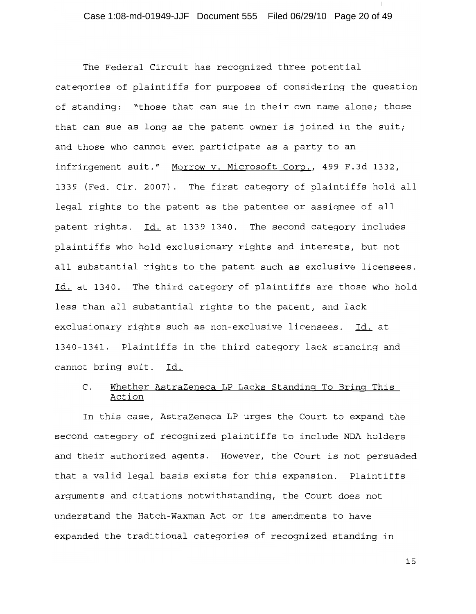The Federal Circuit has recognized three potential categories of plaintiffs for purposes of considering the question of standing: "those that can sue in their own name alone; those that can sue as long as the patent owner is joined in the suit; and those who cannot even participate as a party to an infringement suit." Morrow v. Microsoft Corp., 499 F.3d 1332, 1339 (Fed. Cir. 2007). The first category of plaintiffs hold all legal rights to the patent as the patentee or assignee of all patent rights. Id. at 1339-1340. The second category includes plaintiffs who hold exclusionary rights and interests, but not all substantial rights to the patent such as exclusive licensees. Id. at 1340. The third category of plaintiffs are those who hold less than all substantial rights to the patent, and lack exclusionary rights such as non-exclusive licensees. Id. at 1340-1341. Plaintiffs in the third category lack standing and cannot bring suit. Id.

#### Whether AstraZeneca LP Lacks Standing To Bring This C. Action

In this case, AstraZeneca LP urges the Court to expand the second category of recognized plaintiffs to include NDA holders and their authorized agents. However, the Court is not persuaded that a valid legal basis exists for this expansion. Plaintiffs arguments and citations notwithstanding, the Court does not understand the Hatch-Waxman Act or its amendments to have expanded the traditional categories of recognized standing in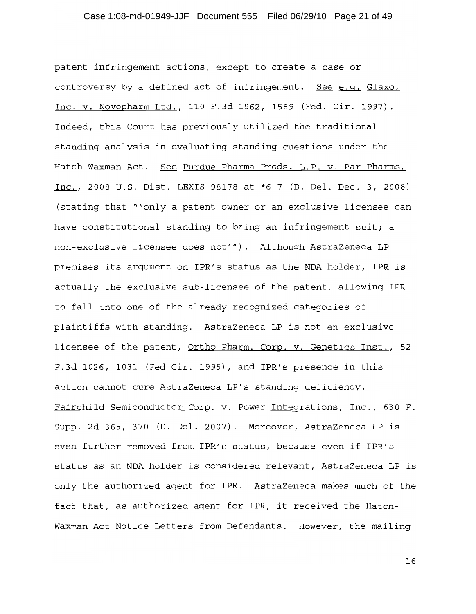# Case 1:08-md-01949-JJF Document 555 Filed 06/29/10 Page 21 of 49

patent infringement actions, except to create a case or controversy by a defined act of infringement. See e.g. Glaxo, Inc. v. Novopharm Ltd., 110 F.3d 1562, 1569 (Fed. Cir. 1997). Indeed, this Court has previously utilized the traditional standing analysis in evaluating standing questions under the Hatch-Waxman Act. See Purdue Pharma Prods. L.P. v. Par Pharms, Inc., 2008 U.S. Dist. LEXIS 98178 at \*6-7 (D. Del. Dec. 3, 2008) (stating that "'only a patent owner or an exclusive licensee can have constitutional standing to bring an infringement suit; a non-exclusive licensee does not'"). Although AstraZeneca LP premises its argument on IPR's status as the NDA holder, IPR is actually the exclusive sub-licensee of the patent, allowing IPR to fall into one of the already recognized categories of plaintiffs with standing. AstraZeneca LP is not an exclusive licensee of the patent, Ortho Pharm. Corp. v. Genetics Inst., 52 F.3d 1026, 1031 (Fed Cir. 1995), and IPR's presence in this action cannot cure AstraZeneca LP's standing deficiency. Fairchild Semiconductor Corp. v. Power Integrations, Inc., 630 F. Supp. 2d 365, 370 (D. Del. 2007). Moreover, AstraZeneca LP is even further removed from IPR's status, because even if IPR's status as an NDA holder is considered relevant, AstraZeneca LP is only the authorized agent for IPR. AstraZeneca makes much of the fact that, as authorized agent for IPR, it received the Hatch-Waxman Act Notice Letters from Defendants. However, the mailing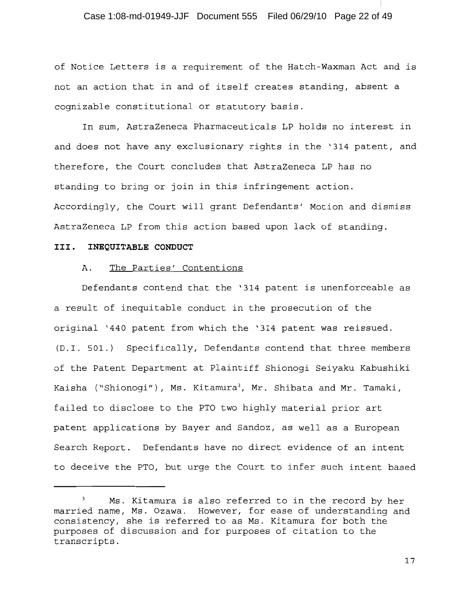### Case 1:08-md-01949-JJF Document 555 Filed 06/29/10 Page 22 of 49

of Notice Letters is a requirement of the Hatch-Waxman Act and is not an action that in and of itself creates standing, absent a cognizable constitutional or statutory basis.

In sum, AstraZeneca Pharmaceuticals LP holds no interest in and does not have any exclusionary rights in the '314 patent, and therefore, the Court concludes that AstraZeneca LP has no standing to bring or join in this infringement action. Accordingly, the Court will grant Defendants' Motion and dismiss AstraZeneca LP from this action based upon lack of standing.

### III. INEQUITABLE CONDUCT

#### Α. The Parties' Contentions

Defendants contend that the '314 patent is unenforceable as a result of inequitable conduct in the prosecution of the original '440 patent from which the '314 patent was reissued. (D.I. 501.) Specifically, Defendants contend that three members of the Patent Department at Plaintiff Shionogi Seiyaku Kabushiki Kaisha ("Shionogi"), Ms. Kitamura<sup>3</sup>, Mr. Shibata and Mr. Tamaki, failed to disclose to the PTO two highly material prior art patent applications by Bayer and Sandoz, as well as a European Search Report. Defendants have no direct evidence of an intent to deceive the PTO, but urge the Court to infer such intent based

 $\mathbf{3}$ Ms. Kitamura is also referred to in the record by her married name, Ms. Ozawa. However, for ease of understanding and consistency, she is referred to as Ms. Kitamura for both the purposes of discussion and for purposes of citation to the transcripts.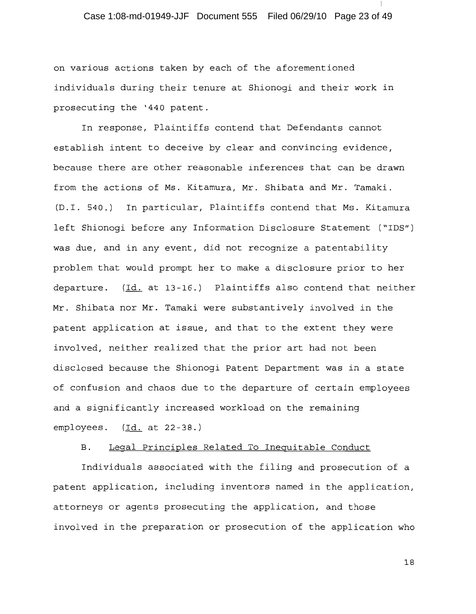# Case 1:08-md-01949-JJF Document 555 Filed 06/29/10 Page 23 of 49

on various actions taken by each of the aforementioned individuals during their tenure at Shionogi and their work in prosecuting the '440 patent.

In response, Plaintiffs contend that Defendants cannot establish intent to deceive by clear and convincing evidence, because there are other reasonable inferences that can be drawn from the actions of Ms. Kitamura, Mr. Shibata and Mr. Tamaki. (D.I. 540.) In particular, Plaintiffs contend that Ms. Kitamura left Shionogi before any Information Disclosure Statement ("IDS") was due, and in any event, did not recognize a patentability problem that would prompt her to make a disclosure prior to her departure.  $(\underline{Id.}$  at 13-16.) Plaintiffs also contend that neither Mr. Shibata nor Mr. Tamaki were substantively involved in the patent application at issue, and that to the extent they were involved, neither realized that the prior art had not been disclosed because the Shionogi Patent Department was in a state of confusion and chaos due to the departure of certain employees and a significantly increased workload on the remaining employees.  $(Id. at 22-38.)$ 

#### **B**. Legal Principles Related To Inequitable Conduct

Individuals associated with the filing and prosecution of a patent application, including inventors named in the application, attorneys or agents prosecuting the application, and those involved in the preparation or prosecution of the application who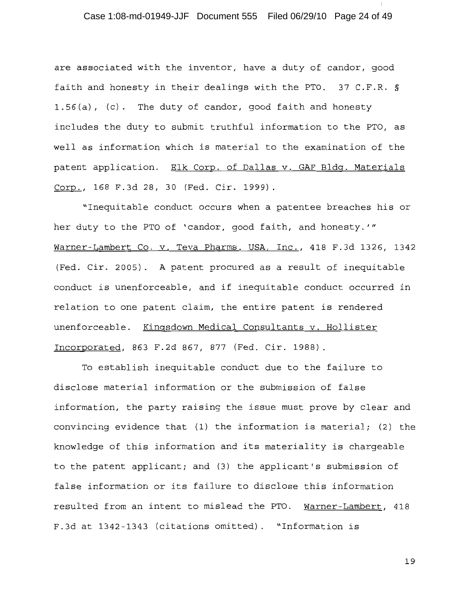# Case 1:08-md-01949-JJF Document 555 Filed 06/29/10 Page 24 of 49

are associated with the inventor, have a duty of candor, good faith and honesty in their dealings with the PTO. 37 C.F.R. § 1.56(a), (c). The duty of candor, good faith and honesty includes the duty to submit truthful information to the PTO, as well as information which is material to the examination of the patent application. Elk Corp. of Dallas v. GAF Bldg. Materials Corp., 168 F.3d 28, 30 (Fed. Cir. 1999).

"Inequitable conduct occurs when a patentee breaches his or her duty to the PTO of 'candor, good faith, and honesty.'" Warner-Lambert Co. v. Teva Pharms. USA, Inc., 418 F.3d 1326, 1342 (Fed. Cir. 2005). A patent procured as a result of inequitable conduct is unenforceable, and if inequitable conduct occurred in relation to one patent claim, the entire patent is rendered unenforceable. Kingsdown Medical Consultants v. Hollister Incorporated, 863 F.2d 867, 877 (Fed. Cir. 1988).

To establish inequitable conduct due to the failure to disclose material information or the submission of false information, the party raising the issue must prove by clear and convincing evidence that (1) the information is material; (2) the knowledge of this information and its materiality is chargeable to the patent applicant; and (3) the applicant's submission of false information or its failure to disclose this information resulted from an intent to mislead the PTO. Warner-Lambert, 418 F.3d at 1342-1343 (citations omitted). "Information is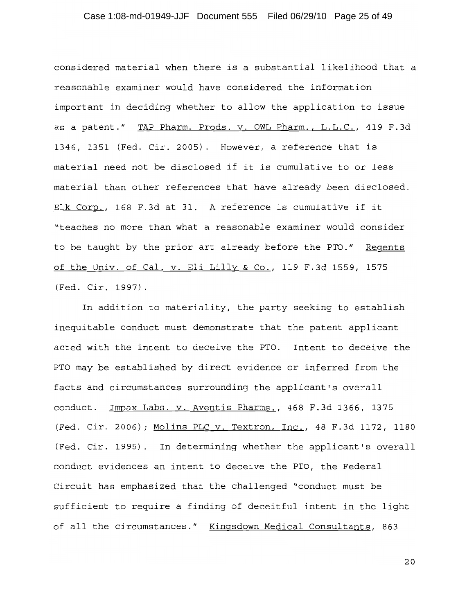# Case 1:08-md-01949-JJF Document 555 Filed 06/29/10 Page 25 of 49

considered material when there is a substantial likelihood that a reasonable examiner would have considered the information important in deciding whether to allow the application to issue as a patent." TAP Pharm. Prods. v. OWL Pharm., L.L.C., 419 F.3d 1346, 1351 (Fed. Cir. 2005). However, a reference that is material need not be disclosed if it is cumulative to or less material than other references that have already been disclosed. Elk Corp., 168 F.3d at 31. A reference is cumulative if it "teaches no more than what a reasonable examiner would consider to be taught by the prior art already before the PTO." Regents of the Univ. of Cal. v. Eli Lilly & Co., 119 F.3d 1559, 1575 (Fed. Cir. 1997).

In addition to materiality, the party seeking to establish inequitable conduct must demonstrate that the patent applicant acted with the intent to deceive the PTO. Intent to deceive the PTO may be established by direct evidence or inferred from the facts and circumstances surrounding the applicant's overall conduct. Impax Labs. v. Aventis Pharms., 468 F.3d 1366, 1375 (Fed. Cir. 2006); Molins PLC v. Textron, Inc., 48 F.3d 1172, 1180 (Fed. Cir. 1995). In determining whether the applicant's overall conduct evidences an intent to deceive the PTO, the Federal Circuit has emphasized that the challenged "conduct must be sufficient to require a finding of deceitful intent in the light of all the circumstances." Kingsdown Medical Consultants, 863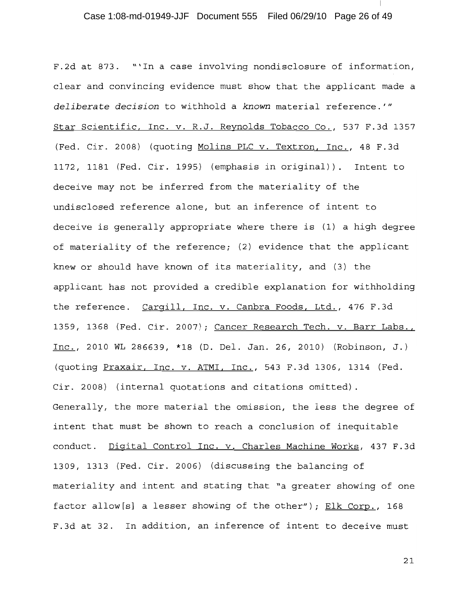F.2d at 873. "'In a case involving nondisclosure of information, clear and convincing evidence must show that the applicant made a deliberate decision to withhold a known material reference.'" Star Scientific, Inc. v. R.J. Reynolds Tobacco Co., 537 F.3d 1357 (Fed. Cir. 2008) (quoting Molins PLC v. Textron, Inc., 48 F.3d 1172, 1181 (Fed. Cir. 1995) (emphasis in original)). Intent to deceive may not be inferred from the materiality of the undisclosed reference alone, but an inference of intent to deceive is generally appropriate where there is (1) a high degree of materiality of the reference; (2) evidence that the applicant knew or should have known of its materiality, and (3) the applicant has not provided a credible explanation for withholding the reference. Cargill, Inc. v. Canbra Foods, Ltd., 476 F.3d 1359, 1368 (Fed. Cir. 2007); Cancer Research Tech. v. Barr Labs., Inc., 2010 WL 286639, \*18 (D. Del. Jan. 26, 2010) (Robinson, J.) (quoting Praxair, Inc. v. ATMI, Inc., 543 F.3d 1306, 1314 (Fed. Cir. 2008) (internal quotations and citations omitted). Generally, the more material the omission, the less the degree of intent that must be shown to reach a conclusion of inequitable conduct. Digital Control Inc. v. Charles Machine Works, 437 F.3d 1309, 1313 (Fed. Cir. 2006) (discussing the balancing of materiality and intent and stating that "a greater showing of one factor allow[s] a lesser showing of the other"); Elk Corp., 168 F.3d at 32. In addition, an inference of intent to deceive must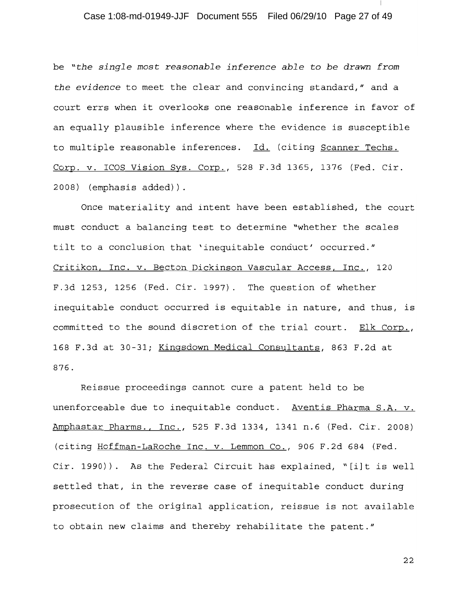# Case 1:08-md-01949-JJF Document 555 Filed 06/29/10 Page 27 of 49

be "the single most reasonable inference able to be drawn from the evidence to meet the clear and convincing standard," and a court errs when it overlooks one reasonable inference in favor of an equally plausible inference where the evidence is susceptible to multiple reasonable inferences. Id. (citing Scanner Techs. Corp. v. ICOS Vision Sys. Corp., 528 F.3d 1365, 1376 (Fed. Cir. 2008) (emphasis added)).

Once materiality and intent have been established, the court must conduct a balancing test to determine "whether the scales tilt to a conclusion that 'inequitable conduct' occurred." Critikon, Inc. v. Becton Dickinson Vascular Access, Inc., 120 F.3d 1253, 1256 (Fed. Cir. 1997). The question of whether inequitable conduct occurred is equitable in nature, and thus, is committed to the sound discretion of the trial court. Elk Corp., 168 F.3d at 30-31; Kingsdown Medical Consultants, 863 F.2d at 876.

Reissue proceedings cannot cure a patent held to be unenforceable due to inequitable conduct. Aventis Pharma S.A. v. Amphastar Pharms., Inc., 525 F.3d 1334, 1341 n.6 (Fed. Cir. 2008) (citing Hoffman-LaRoche Inc. v. Lemmon Co., 906 F.2d 684 (Fed. Cir. 1990)). As the Federal Circuit has explained, "[i]t is well settled that, in the reverse case of inequitable conduct during prosecution of the original application, reissue is not available to obtain new claims and thereby rehabilitate the patent."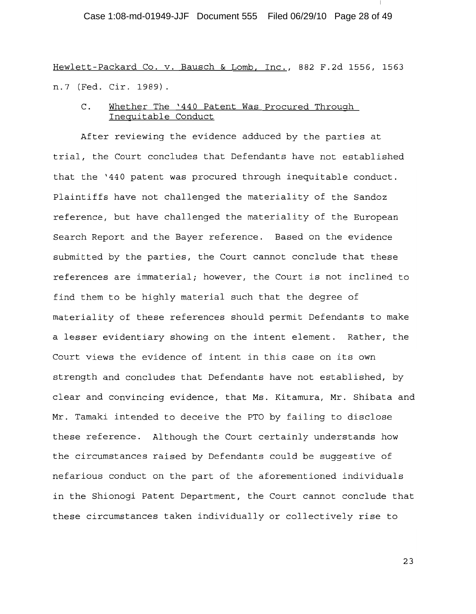Case 1:08-md-01949-JJF Document 555 Filed 06/29/10 Page 28 of 49

Hewlett-Packard Co. v. Bausch & Lomb, Inc., 882 F.2d 1556, 1563 n.7 (Fed. Cir. 1989).

Whether The '440 Patent Was Procured Through  $\mathsf{C}$  . Inequitable Conduct

After reviewing the evidence adduced by the parties at trial, the Court concludes that Defendants have not established that the '440 patent was procured through inequitable conduct. Plaintiffs have not challenged the materiality of the Sandoz reference, but have challenged the materiality of the European Search Report and the Bayer reference. Based on the evidence submitted by the parties, the Court cannot conclude that these references are immaterial; however, the Court is not inclined to find them to be highly material such that the degree of materiality of these references should permit Defendants to make a lesser evidentiary showing on the intent element. Rather, the Court views the evidence of intent in this case on its own strength and concludes that Defendants have not established, by clear and convincing evidence, that Ms. Kitamura, Mr. Shibata and Mr. Tamaki intended to deceive the PTO by failing to disclose these reference. Although the Court certainly understands how the circumstances raised by Defendants could be suggestive of nefarious conduct on the part of the aforementioned individuals in the Shionogi Patent Department, the Court cannot conclude that these circumstances taken individually or collectively rise to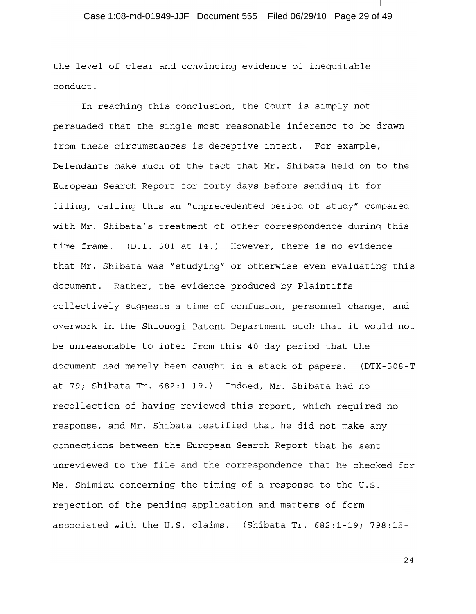the level of clear and convincing evidence of inequitable conduct.

In reaching this conclusion, the Court is simply not persuaded that the single most reasonable inference to be drawn from these circumstances is deceptive intent. For example, Defendants make much of the fact that Mr. Shibata held on to the European Search Report for forty days before sending it for filing, calling this an "unprecedented period of study" compared with Mr. Shibata's treatment of other correspondence during this time frame. (D.I. 501 at 14.) However, there is no evidence that Mr. Shibata was "studying" or otherwise even evaluating this document. Rather, the evidence produced by Plaintiffs collectively suggests a time of confusion, personnel change, and overwork in the Shionogi Patent Department such that it would not be unreasonable to infer from this 40 day period that the document had merely been caught in a stack of papers. (DTX-508-T at 79; Shibata Tr. 682:1-19.) Indeed, Mr. Shibata had no recollection of having reviewed this report, which required no response, and Mr. Shibata testified that he did not make any connections between the European Search Report that he sent unreviewed to the file and the correspondence that he checked for Ms. Shimizu concerning the timing of a response to the U.S. rejection of the pending application and matters of form associated with the U.S. claims. (Shibata Tr. 682:1-19; 798:15-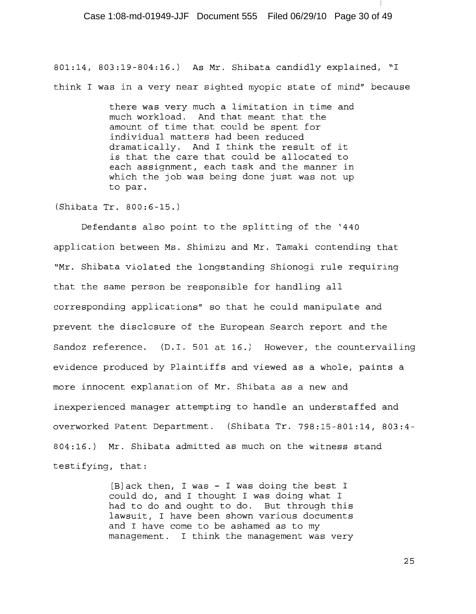801:14, 803:19-804:16.) As Mr. Shibata candidly explained, "I think I was in a very near sighted myopic state of mind" because

> there was very much a limitation in time and much workload. And that meant that the amount of time that could be spent for individual matters had been reduced dramatically. And I think the result of it is that the care that could be allocated to each assignment, each task and the manner in which the job was being done just was not up to par.

(Shibata Tr. 800:6-15.)

Defendants also point to the splitting of the '440 application between Ms. Shimizu and Mr. Tamaki contending that "Mr. Shibata violated the longstanding Shionogi rule requiring that the same person be responsible for handling all corresponding applications" so that he could manipulate and prevent the disclosure of the European Search report and the Sandoz reference. (D.I. 501 at 16.) However, the countervailing evidence produced by Plaintiffs and viewed as a whole, paints a more innocent explanation of Mr. Shibata as a new and inexperienced manager attempting to handle an understaffed and overworked Patent Department. (Shibata Tr. 798:15-801:14, 803:4-804:16.) Mr. Shibata admitted as much on the witness stand testifying, that:

> [B] ack then, I was - I was doing the best I could do, and I thought I was doing what I had to do and ought to do. But through this lawsuit, I have been shown various documents and I have come to be ashamed as to my management. I think the management was very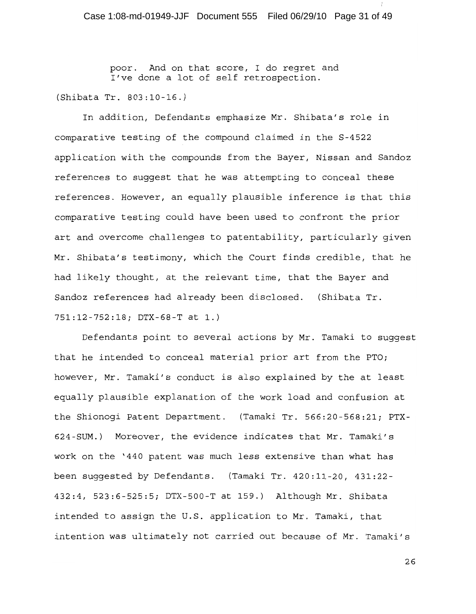poor. And on that score, I do regret and I've done a lot of self retrospection.

(Shibata Tr. 803:10-16.)

In addition, Defendants emphasize Mr. Shibata's role in comparative testing of the compound claimed in the S-4522 application with the compounds from the Bayer, Nissan and Sandoz references to suggest that he was attempting to conceal these references. However, an equally plausible inference is that this comparative testing could have been used to confront the prior art and overcome challenges to patentability, particularly given Mr. Shibata's testimony, which the Court finds credible, that he had likely thought, at the relevant time, that the Bayer and Sandoz references had already been disclosed. (Shibata Tr. 751:12-752:18; DTX-68-T at 1.)

Defendants point to several actions by Mr. Tamaki to suggest that he intended to conceal material prior art from the PTO; however, Mr. Tamaki's conduct is also explained by the at least equally plausible explanation of the work load and confusion at the Shionogi Patent Department. (Tamaki Tr. 566:20-568:21; PTX-624-SUM.) Moreover, the evidence indicates that Mr. Tamaki's work on the '440 patent was much less extensive than what has been suggested by Defendants. (Tamaki Tr. 420:11-20, 431:22-432:4, 523:6-525:5; DTX-500-T at 159.) Although Mr. Shibata intended to assign the U.S. application to Mr. Tamaki, that intention was ultimately not carried out because of Mr. Tamaki's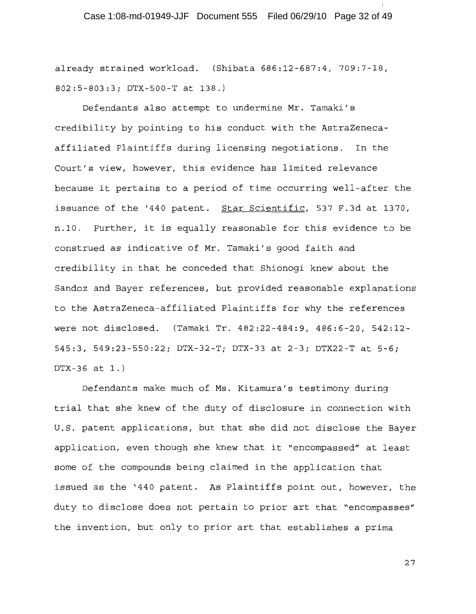already strained workload. (Shibata 686:12-687:4, 709:7-18, 802:5-803:3; DTX-500-T at 138.)

Defendants also attempt to undermine Mr. Tamaki's credibility by pointing to his conduct with the AstraZenecaaffiliated Plaintiffs during licensing negotiations. In the Court's view, however, this evidence has limited relevance because it pertains to a period of time occurring well-after the issuance of the '440 patent. Star Scientific, 537 F.3d at 1370, n.10. Further, it is equally reasonable for this evidence to be construed as indicative of Mr. Tamaki's good faith and credibility in that he conceded that Shionogi knew about the Sandoz and Bayer references, but provided reasonable explanations to the AstraZeneca-affiliated Plaintiffs for why the references were not disclosed. (Tamaki Tr. 482:22-484:9, 486:6-20, 542:12-545:3, 549:23-550:22; DTX-32-T; DTX-33 at 2-3; DTX22-T at 5-6;  $DTX-36$  at 1.)

Defendants make much of Ms. Kitamura's testimony during trial that she knew of the duty of disclosure in connection with U.S. patent applications, but that she did not disclose the Bayer application, even though she knew that it "encompassed" at least some of the compounds being claimed in the application that issued as the '440 patent. As Plaintiffs point out, however, the duty to disclose does not pertain to prior art that "encompasses" the invention, but only to prior art that establishes a prima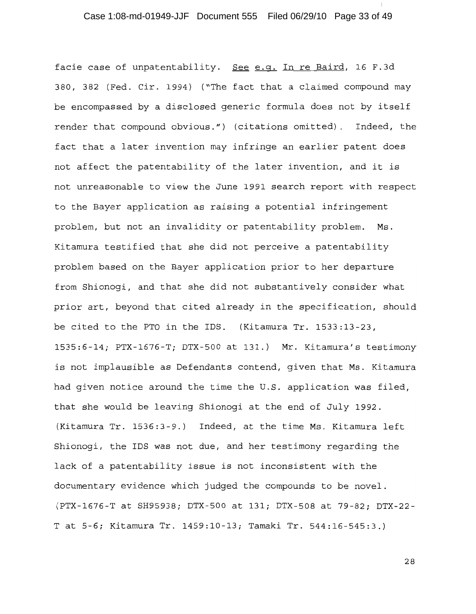### Case 1:08-md-01949-JJF Document 555 Filed 06/29/10 Page 33 of 49

facie case of unpatentability. See e.q. In re Baird, 16 F.3d 380, 382 (Fed. Cir. 1994) ("The fact that a claimed compound may be encompassed by a disclosed generic formula does not by itself render that compound obvious.") (citations omitted). Indeed, the fact that a later invention may infringe an earlier patent does not affect the patentability of the later invention, and it is not unreasonable to view the June 1991 search report with respect to the Bayer application as raising a potential infringement problem, but not an invalidity or patentability problem. Ms. Kitamura testified that she did not perceive a patentability problem based on the Bayer application prior to her departure from Shionogi, and that she did not substantively consider what prior art, beyond that cited already in the specification, should be cited to the PTO in the IDS. (Kitamura Tr. 1533:13-23, 1535:6-14; PTX-1676-T; DTX-500 at 131.) Mr. Kitamura's testimony is not implausible as Defendants contend, given that Ms. Kitamura had given notice around the time the U.S. application was filed, that she would be leaving Shionogi at the end of July 1992. (Kitamura Tr. 1536:3-9.) Indeed, at the time Ms. Kitamura left Shionogi, the IDS was not due, and her testimony regarding the lack of a patentability issue is not inconsistent with the documentary evidence which judged the compounds to be novel. (PTX-1676-T at SH95938; DTX-500 at 131; DTX-508 at 79-82; DTX-22-T at 5-6; Kitamura Tr. 1459:10-13; Tamaki Tr. 544:16-545:3.)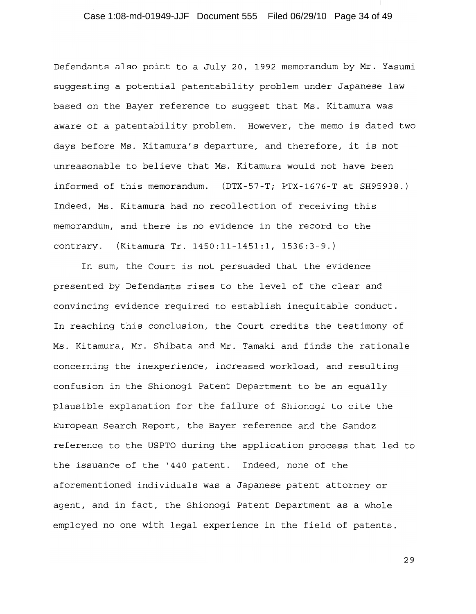# Case 1:08-md-01949-JJF Document 555 Filed 06/29/10 Page 34 of 49

Defendants also point to a July 20, 1992 memorandum by Mr. Yasumi suggesting a potential patentability problem under Japanese law based on the Bayer reference to suggest that Ms. Kitamura was aware of a patentability problem. However, the memo is dated two days before Ms. Kitamura's departure, and therefore, it is not unreasonable to believe that Ms. Kitamura would not have been informed of this memorandum. (DTX-57-T; PTX-1676-T at SH95938.) Indeed, Ms. Kitamura had no recollection of receiving this memorandum, and there is no evidence in the record to the contrary. (Kitamura Tr. 1450:11-1451:1, 1536:3-9.)

In sum, the Court is not persuaded that the evidence presented by Defendants rises to the level of the clear and convincing evidence required to establish inequitable conduct. In reaching this conclusion, the Court credits the testimony of Ms. Kitamura, Mr. Shibata and Mr. Tamaki and finds the rationale concerning the inexperience, increased workload, and resulting confusion in the Shionogi Patent Department to be an equally plausible explanation for the failure of Shionogi to cite the European Search Report, the Bayer reference and the Sandoz reference to the USPTO during the application process that led to the issuance of the '440 patent. Indeed, none of the aforementioned individuals was a Japanese patent attorney or agent, and in fact, the Shionogi Patent Department as a whole employed no one with legal experience in the field of patents.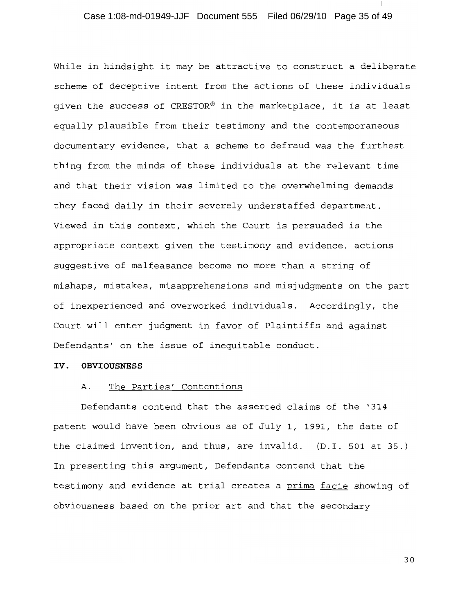# Case 1:08-md-01949-JJF Document 555 Filed 06/29/10 Page 35 of 49

While in hindsight it may be attractive to construct a deliberate scheme of deceptive intent from the actions of these individuals given the success of CRESTOR® in the marketplace, it is at least equally plausible from their testimony and the contemporaneous documentary evidence, that a scheme to defraud was the furthest thing from the minds of these individuals at the relevant time and that their vision was limited to the overwhelming demands they faced daily in their severely understaffed department. Viewed in this context, which the Court is persuaded is the appropriate context given the testimony and evidence, actions suggestive of malfeasance become no more than a string of mishaps, mistakes, misapprehensions and misjudgments on the part of inexperienced and overworked individuals. Accordingly, the Court will enter judgment in favor of Plaintiffs and against Defendants' on the issue of inequitable conduct.

#### IV. OBVIOUSNESS

#### The Parties' Contentions Α.

Defendants contend that the asserted claims of the '314 patent would have been obvious as of July 1, 1991, the date of the claimed invention, and thus, are invalid. (D.I. 501 at 35.) In presenting this argument, Defendants contend that the testimony and evidence at trial creates a prima facie showing of obviousness based on the prior art and that the secondary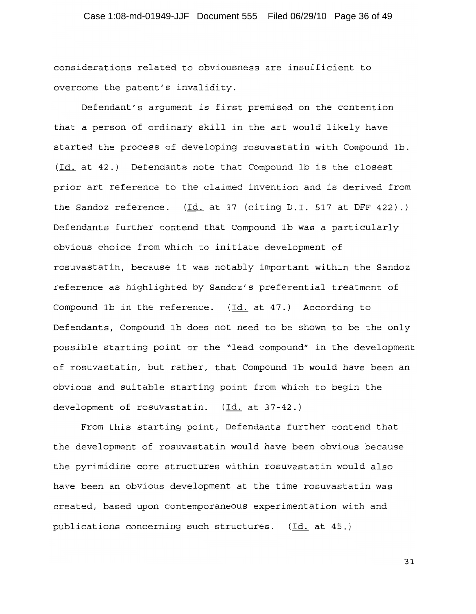considerations related to obviousness are insufficient to overcome the patent's invalidity.

Defendant's argument is first premised on the contention that a person of ordinary skill in the art would likely have started the process of developing rosuvastatin with Compound 1b. (Id. at 42.) Defendants note that Compound 1b is the closest prior art reference to the claimed invention and is derived from the Sandoz reference.  $(\text{Id. at 37 (citing D.I. 517 at DFF 422).})$ Defendants further contend that Compound 1b was a particularly obvious choice from which to initiate development of rosuvastatin, because it was notably important within the Sandoz reference as highlighted by Sandoz's preferential treatment of Compound 1b in the reference. (Id. at 47.) According to Defendants, Compound 1b does not need to be shown to be the only possible starting point or the "lead compound" in the development of rosuvastatin, but rather, that Compound 1b would have been an obvious and suitable starting point from which to begin the development of rosuvastatin. (Id. at 37-42.)

From this starting point, Defendants further contend that the development of rosuvastatin would have been obvious because the pyrimidine core structures within rosuvastatin would also have been an obvious development at the time rosuvastatin was created, based upon contemporaneous experimentation with and publications concerning such structures. (Id. at 45.)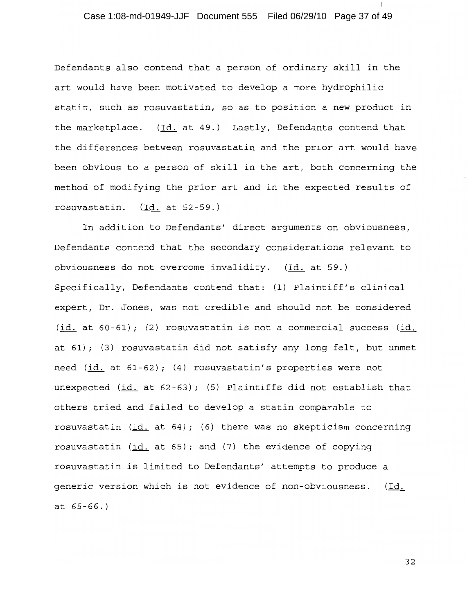# Case 1:08-md-01949-JJF Document 555 Filed 06/29/10 Page 37 of 49

Defendants also contend that a person of ordinary skill in the art would have been motivated to develop a more hydrophilic statin, such as rosuvastatin, so as to position a new product in the marketplace. (Id. at 49.) Lastly, Defendants contend that the differences between rosuvastatin and the prior art would have been obvious to a person of skill in the art, both concerning the method of modifying the prior art and in the expected results of rosuvastatin. (Id. at 52-59.)

In addition to Defendants' direct arguments on obviousness, Defendants contend that the secondary considerations relevant to obviousness do not overcome invalidity. (Id. at 59.) Specifically, Defendants contend that: (1) Plaintiff's clinical expert, Dr. Jones, was not credible and should not be considered (id. at 60-61); (2) rosuvastatin is not a commercial success (id. at 61); (3) rosuvastatin did not satisfy any long felt, but unmet need (id. at 61-62); (4) rosuvastatin's properties were not unexpected  $(id.$  at  $62-63)$ ; (5) Plaintiffs did not establish that others tried and failed to develop a statin comparable to rosuvastatin (id. at 64); (6) there was no skepticism concerning rosuvastatin (id. at 65); and (7) the evidence of copying rosuvastatin is limited to Defendants' attempts to produce a generic version which is not evidence of non-obviousness. (Id. at  $65 - 66.$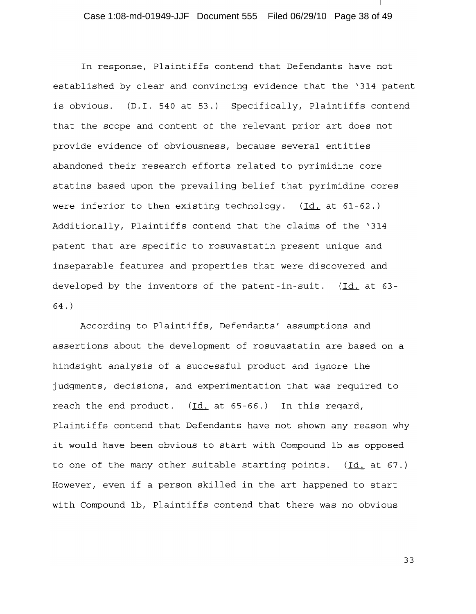# Case 1:08-md-01949-JJF Document 555 Filed 06/29/10 Page 38 of 49

In response, Plaintiffs contend that Defendants have not established by clear and convincing evidence that the '314 patent is obvious. (D.I. 540 at 53.) Specifically, Plaintiffs contend that the scope and content of the relevant prior art does not provide evidence of obviousness, because several entities abandoned their research efforts related to pyrimidine core statins based upon the prevailing belief that pyrimidine cores were inferior to then existing technology.  $(Id. at 61-62.)$ Additionally, Plaintiffs contend that the claims of the '314 patent that are specific to rosuvastatin present unique and inseparable features and properties that were discovered and developed by the inventors of the patent-in-suit. (Id. at 63- $64.$ 

According to Plaintiffs, Defendants' assumptions and assertions about the development of rosuvastatin are based on a hindsight analysis of a successful product and ignore the judgments, decisions, and experimentation that was required to reach the end product. (Id. at 65-66.) In this regard, Plaintiffs contend that Defendants have not shown any reason why it would have been obvious to start with Compound 1b as opposed to one of the many other suitable starting points. (Id. at 67.) However, even if a person skilled in the art happened to start with Compound 1b, Plaintiffs contend that there was no obvious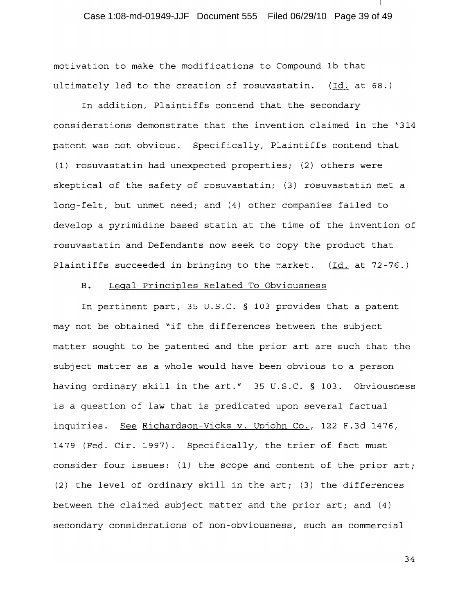# Case 1:08-md-01949-JJF Document 555 Filed 06/29/10 Page 39 of 49

motivation to make the modifications to Compound 1b that ultimately led to the creation of rosuvastatin. (Id. at 68.)

In addition, Plaintiffs contend that the secondary considerations demonstrate that the invention claimed in the '314 patent was not obvious. Specifically, Plaintiffs contend that (1) rosuvastatin had unexpected properties; (2) others were skeptical of the safety of rosuvastatin; (3) rosuvastatin met a long-felt, but unmet need; and (4) other companies failed to develop a pyrimidine based statin at the time of the invention of rosuvastatin and Defendants now seek to copy the product that Plaintiffs succeeded in bringing to the market. (Id. at 72-76.)

#### $B.$ Legal Principles Related To Obviousness

In pertinent part, 35 U.S.C. § 103 provides that a patent may not be obtained "if the differences between the subject matter sought to be patented and the prior art are such that the subject matter as a whole would have been obvious to a person having ordinary skill in the art." 35 U.S.C. § 103. Obviousness is a question of law that is predicated upon several factual inquiries. See Richardson-Vicks v. Upjohn Co., 122 F.3d 1476, 1479 (Fed. Cir. 1997). Specifically, the trier of fact must consider four issues: (1) the scope and content of the prior art; (2) the level of ordinary skill in the art; (3) the differences between the claimed subject matter and the prior art; and (4) secondary considerations of non-obviousness, such as commercial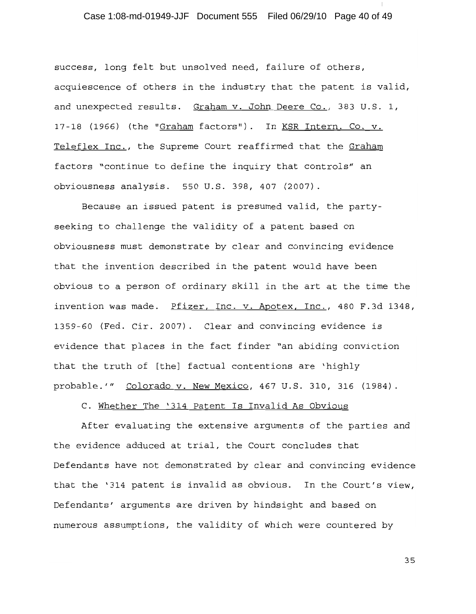### Case 1:08-md-01949-JJF Document 555 Filed 06/29/10 Page 40 of 49

success, long felt but unsolved need, failure of others, acquiescence of others in the industry that the patent is valid, and unexpected results. Graham v. John Deere Co., 383 U.S. 1, 17-18 (1966) (the "Graham factors"). In KSR Intern. Co. v. Teleflex Inc., the Supreme Court reaffirmed that the Graham factors "continue to define the inquiry that controls" an obviousness analysis. 550 U.S. 398, 407 (2007).

Because an issued patent is presumed valid, the partyseeking to challenge the validity of a patent based on obviousness must demonstrate by clear and convincing evidence that the invention described in the patent would have been obvious to a person of ordinary skill in the art at the time the invention was made. Pfizer, Inc. v. Apotex, Inc., 480 F.3d 1348, 1359-60 (Fed. Cir. 2007). Clear and convincing evidence is evidence that places in the fact finder "an abiding conviction that the truth of [the] factual contentions are 'highly probable.'" Colorado v. New Mexico, 467 U.S. 310, 316 (1984).

C. Whether The '314 Patent Is Invalid As Obvious

After evaluating the extensive arguments of the parties and the evidence adduced at trial, the Court concludes that Defendants have not demonstrated by clear and convincing evidence that the '314 patent is invalid as obvious. In the Court's view, Defendants' arguments are driven by hindsight and based on numerous assumptions, the validity of which were countered by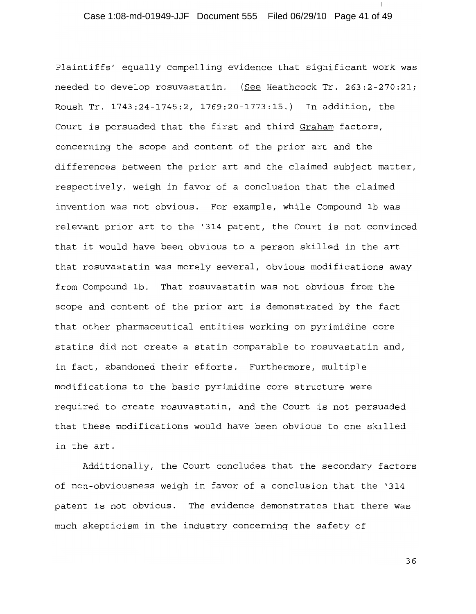# Case 1:08-md-01949-JJF Document 555 Filed 06/29/10 Page 41 of 49

Plaintiffs' equally compelling evidence that significant work was needed to develop rosuvastatin. (See Heathcock Tr. 263:2-270:21; Roush Tr. 1743:24-1745:2, 1769:20-1773:15.) In addition, the Court is persuaded that the first and third Graham factors, concerning the scope and content of the prior art and the differences between the prior art and the claimed subject matter, respectively, weigh in favor of a conclusion that the claimed invention was not obvious. For example, while Compound 1b was relevant prior art to the '314 patent, the Court is not convinced that it would have been obvious to a person skilled in the art that rosuvastatin was merely several, obvious modifications away from Compound 1b. That rosuvastatin was not obvious from the scope and content of the prior art is demonstrated by the fact that other pharmaceutical entities working on pyrimidine core statins did not create a statin comparable to rosuvastatin and, in fact, abandoned their efforts. Furthermore, multiple modifications to the basic pyrimidine core structure were required to create rosuvastatin, and the Court is not persuaded that these modifications would have been obvious to one skilled in the art.

Additionally, the Court concludes that the secondary factors of non-obviousness weigh in favor of a conclusion that the '314 patent is not obvious. The evidence demonstrates that there was much skepticism in the industry concerning the safety of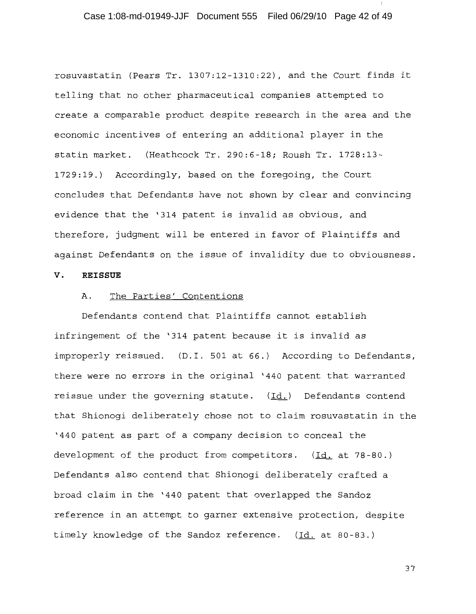# Case 1:08-md-01949-JJF Document 555 Filed 06/29/10 Page 42 of 49

rosuvastatin (Pears Tr. 1307:12-1310:22), and the Court finds it telling that no other pharmaceutical companies attempted to create a comparable product despite research in the area and the economic incentives of entering an additional player in the statin market. (Heathcock Tr. 290:6-18; Roush Tr. 1728:13-1729:19.) Accordingly, based on the foregoing, the Court concludes that Defendants have not shown by clear and convincing evidence that the '314 patent is invalid as obvious, and therefore, judgment will be entered in favor of Plaintiffs and against Defendants on the issue of invalidity due to obviousness.

#### v. **REISSUE**

#### The Parties' Contentions Α.

Defendants contend that Plaintiffs cannot establish infringement of the '314 patent because it is invalid as improperly reissued. (D.I. 501 at 66.) According to Defendants, there were no errors in the original '440 patent that warranted reissue under the governing statute.  $(\underline{Id.})$  Defendants contend that Shionogi deliberately chose not to claim rosuvastatin in the '440 patent as part of a company decision to conceal the development of the product from competitors.  $(\underline{Id.}$  at 78-80.) Defendants also contend that Shionogi deliberately crafted a broad claim in the '440 patent that overlapped the Sandoz reference in an attempt to garner extensive protection, despite timely knowledge of the Sandoz reference. (Id. at 80-83.)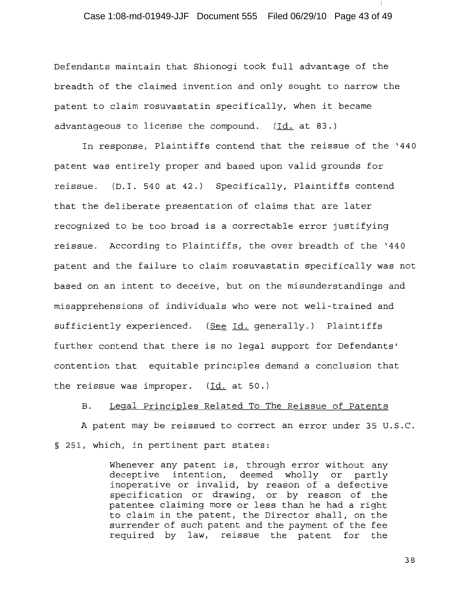### Case 1:08-md-01949-JJF Document 555 Filed 06/29/10 Page 43 of 49

Defendants maintain that Shionoqi took full advantage of the breadth of the claimed invention and only sought to narrow the patent to claim rosuvastatin specifically, when it became advantageous to license the compound. (Id. at 83.)

In response, Plaintiffs contend that the reissue of the '440 patent was entirely proper and based upon valid grounds for reissue. (D.I. 540 at 42.) Specifically, Plaintiffs contend that the deliberate presentation of claims that are later recognized to be too broad is a correctable error justifying reissue. According to Plaintiffs, the over breadth of the '440 patent and the failure to claim rosuvastatin specifically was not based on an intent to deceive, but on the misunderstandings and misapprehensions of individuals who were not well-trained and sufficiently experienced. (See Id. generally.) Plaintiffs further contend that there is no legal support for Defendants' contention that equitable principles demand a conclusion that the reissue was improper.  $(\underline{Id.}$  at 50.)

Legal Principles Related To The Reissue of Patents **B**.

A patent may be reissued to correct an error under 35 U.S.C. § 251, which, in pertinent part states:

> Whenever any patent is, through error without any deceptive intention, deemed wholly or partly inoperative or invalid, by reason of a defective specification or drawing, or by reason of the patentee claiming more or less than he had a right to claim in the patent, the Director shall, on the surrender of such patent and the payment of the fee required by law, reissue the patent for the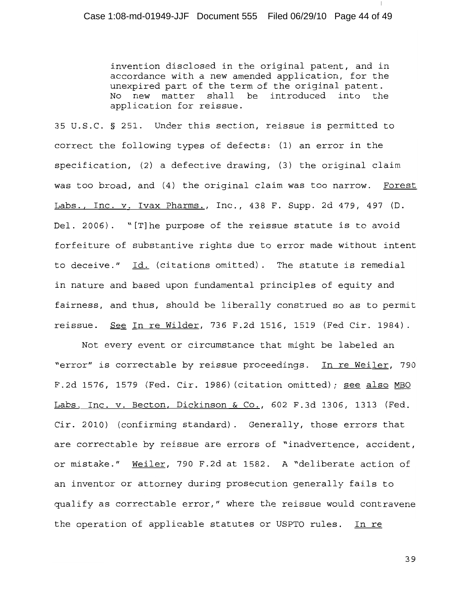invention disclosed in the original patent, and in accordance with a new amended application, for the unexpired part of the term of the original patent. new matter shall be introduced into the  $N<sub>O</sub>$ application for reissue.

35 U.S.C. § 251. Under this section, reissue is permitted to correct the following types of defects: (1) an error in the specification,  $(2)$  a defective drawing,  $(3)$  the original claim was too broad, and (4) the original claim was too narrow. Forest Labs., Inc. v. Ivax Pharms., Inc., 438 F. Supp. 2d 479, 497 (D. Del. 2006). "[T] he purpose of the reissue statute is to avoid forfeiture of substantive rights due to error made without intent to deceive." Id. (citations omitted). The statute is remedial in nature and based upon fundamental principles of equity and fairness, and thus, should be liberally construed so as to permit reissue. See In re Wilder, 736 F.2d 1516, 1519 (Fed Cir. 1984).

Not every event or circumstance that might be labeled an "error" is correctable by reissue proceedings. In re Weiler, 790 F.2d 1576, 1579 (Fed. Cir. 1986) (citation omitted); see also MBO Labs. Inc. v. Becton, Dickinson & Co., 602 F.3d 1306, 1313 (Fed. Cir. 2010) (confirming standard). Generally, those errors that are correctable by reissue are errors of "inadvertence, accident, or mistake." Weiler, 790 F.2d at 1582. A "deliberate action of an inventor or attorney during prosecution generally fails to qualify as correctable error," where the reissue would contravene the operation of applicable statutes or USPTO rules. In re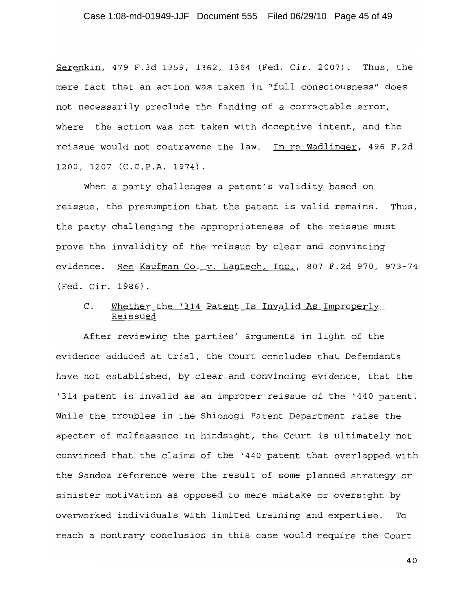Case 1:08-md-01949-JJF Document 555 Filed 06/29/10 Page 45 of 49

Serenkin, 479 F.3d 1359, 1362, 1364 (Fed. Cir. 2007). Thus, the mere fact that an action was taken in "full consciousness" does not necessarily preclude the finding of a correctable error, where the action was not taken with deceptive intent, and the reissue would not contravene the law. In re Wadlinger, 496 F.2d 1200, 1207 (C.C.P.A. 1974).

When a party challenges a patent's validity based on reissue, the presumption that the patent is valid remains. Thus, the party challenging the appropriateness of the reissue must prove the invalidity of the reissue by clear and convincing evidence. See Kaufman Co. v. Lantech, Inc., 807 F.2d 970, 973-74 (Fed. Cir. 1986).

#### Whether the '314 Patent Is Invalid As Improperly  $\mathsf{C}$ . Reissued

After reviewing the parties' arguments in light of the evidence adduced at trial, the Court concludes that Defendants have not established, by clear and convincing evidence, that the '314 patent is invalid as an improper reissue of the '440 patent. While the troubles in the Shionogi Patent Department raise the specter of malfeasance in hindsight, the Court is ultimately not convinced that the claims of the '440 patent that overlapped with the Sandoz reference were the result of some planned strategy or sinister motivation as opposed to mere mistake or oversight by overworked individuals with limited training and expertise. To reach a contrary conclusion in this case would require the Court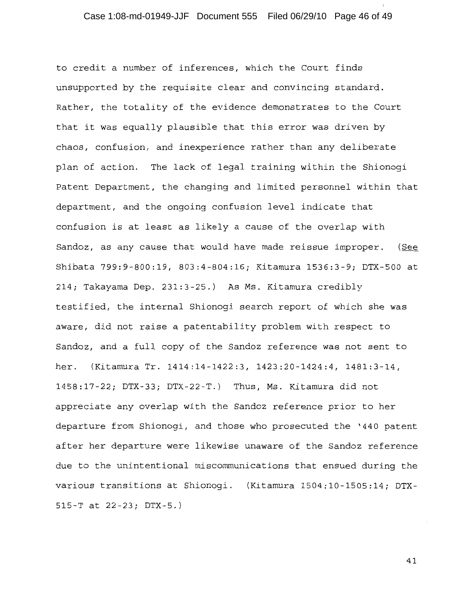# Case 1:08-md-01949-JJF Document 555 Filed 06/29/10 Page 46 of 49

to credit a number of inferences, which the Court finds unsupported by the requisite clear and convincing standard. Rather, the totality of the evidence demonstrates to the Court that it was equally plausible that this error was driven by chaos, confusion, and inexperience rather than any deliberate plan of action. The lack of legal training within the Shionogi Patent Department, the changing and limited personnel within that department, and the ongoing confusion level indicate that confusion is at least as likely a cause of the overlap with Sandoz, as any cause that would have made reissue improper. (See Shibata 799:9-800:19, 803:4-804:16; Kitamura 1536:3-9; DTX-500 at 214; Takayama Dep. 231:3-25.) As Ms. Kitamura credibly testified, the internal Shionogi search report of which she was aware, did not raise a patentability problem with respect to Sandoz, and a full copy of the Sandoz reference was not sent to her. (Kitamura Tr. 1414:14-1422:3, 1423:20-1424:4, 1481:3-14, 1458:17-22; DTX-33; DTX-22-T.) Thus, Ms. Kitamura did not appreciate any overlap with the Sandoz reference prior to her departure from Shionogi, and those who prosecuted the '440 patent after her departure were likewise unaware of the Sandoz reference due to the unintentional miscommunications that ensued during the various transitions at Shionogi. (Kitamura 1504:10-1505:14; DTX- $515-T$  at  $22-23$ ; DTX-5.)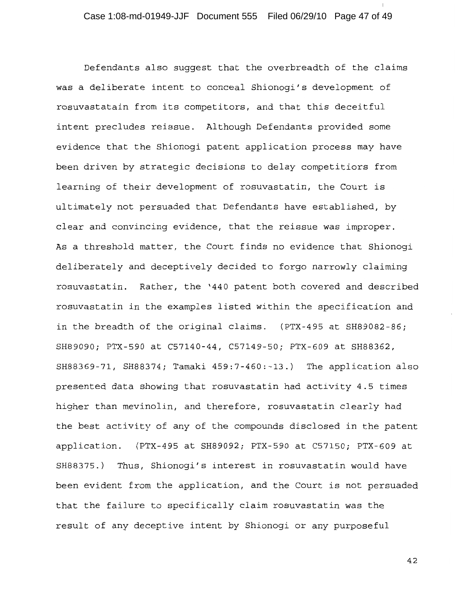Defendants also suggest that the overbreadth of the claims was a deliberate intent to conceal Shionogi's development of rosuvastatain from its competitors, and that this deceitful intent precludes reissue. Although Defendants provided some evidence that the Shionogi patent application process may have been driven by strategic decisions to delay competitiors from learning of their development of rosuvastatin, the Court is ultimately not persuaded that Defendants have established, by clear and convincing evidence, that the reissue was improper. As a threshold matter, the Court finds no evidence that Shionogi deliberately and deceptively decided to forgo narrowly claiming rosuvastatin. Rather, the '440 patent both covered and described rosuvastatin in the examples listed within the specification and in the breadth of the original claims. (PTX-495 at SH89082-86; SH89090; PTX-590 at C57140-44, C57149-50; PTX-609 at SH88362, SH88369-71, SH88374; Tamaki 459:7-460:-13.) The application also presented data showing that rosuvastatin had activity 4.5 times higher than mevinolin, and therefore, rosuvastatin clearly had the best activity of any of the compounds disclosed in the patent application. (PTX-495 at SH89092; PTX-590 at C57150; PTX-609 at SH88375.) Thus, Shionoqi's interest in rosuvastatin would have been evident from the application, and the Court is not persuaded that the failure to specifically claim rosuvastatin was the result of any deceptive intent by Shionogi or any purposeful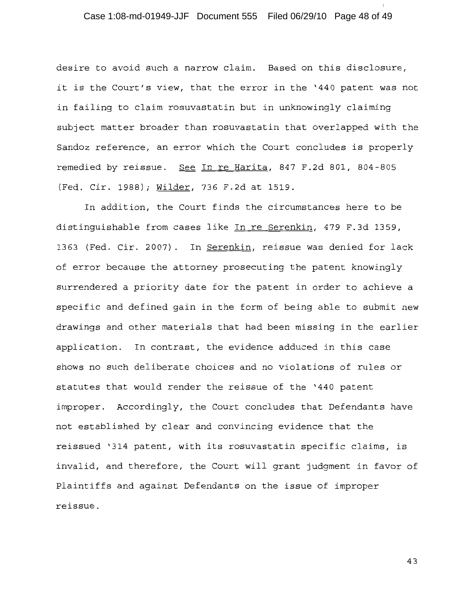# Case 1:08-md-01949-JJF Document 555 Filed 06/29/10 Page 48 of 49

desire to avoid such a narrow claim. Based on this disclosure, it is the Court's view, that the error in the '440 patent was not in failing to claim rosuvastatin but in unknowingly claiming subject matter broader than rosuvastatin that overlapped with the Sandoz reference, an error which the Court concludes is properly remedied by reissue. See In re Harita, 847 F.2d 801, 804-805 (Fed. Cir. 1988); Wilder, 736 F.2d at 1519.

In addition, the Court finds the circumstances here to be distinguishable from cases like In re Serenkin, 479 F.3d 1359, 1363 (Fed. Cir. 2007). In Serenkin, reissue was denied for lack of error because the attorney prosecuting the patent knowingly surrendered a priority date for the patent in order to achieve a specific and defined gain in the form of being able to submit new drawings and other materials that had been missing in the earlier application. In contrast, the evidence adduced in this case shows no such deliberate choices and no violations of rules or statutes that would render the reissue of the '440 patent improper. Accordingly, the Court concludes that Defendants have not established by clear and convincing evidence that the reissued '314 patent, with its rosuvastatin specific claims, is invalid, and therefore, the Court will grant judgment in favor of Plaintiffs and against Defendants on the issue of improper reissue.